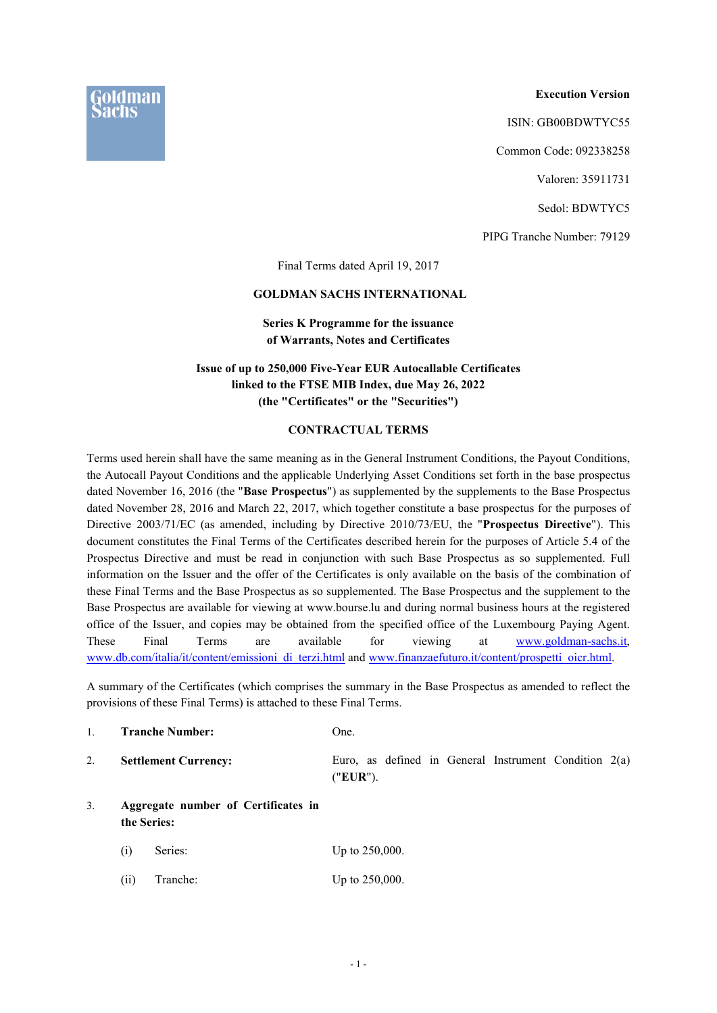**Execution Version**

ISIN: GB00BDWTYC55

Common Code: 092338258

Valoren: 35911731

Sedol: BDWTYC5

PIPG Tranche Number: 79129

Final Terms dated April 19, 2017

### **GOLDMAN SACHS INTERNATIONAL**

## **Series K Programme for the issuance of Warrants, Notes and Certificates**

## **Issue of up to 250,000 Five-Year EUR Autocallable Certificates linked to the FTSE MIB Index, due May 26, 2022 (the "Certificates" or the "Securities")**

### **CONTRACTUAL TERMS**

Terms used herein shall have the same meaning as in the General Instrument Conditions, the Payout Conditions, the Autocall Payout Conditions and the applicable Underlying Asset Conditions set forth in the base prospectus dated November 16, 2016 (the "**Base Prospectus**") as supplemented by the supplements to the Base Prospectus dated November 28, 2016 and March 22, 2017, which together constitute a base prospectus for the purposes of Directive 2003/71/EC (as amended, including by Directive 2010/73/EU, the "**Prospectus Directive**"). This document constitutes the Final Terms of the Certificates described herein for the purposes of Article 5.4 of the Prospectus Directive and must be read in conjunction with such Base Prospectus as so supplemented. Full information on the Issuer and the offer of the Certificates is only available on the basis of the combination of these Final Terms and the Base Prospectus as so supplemented. The Base Prospectus and the supplement to the Base Prospectus are available for viewing at www.bourse.lu and during normal business hours at the registered office of the Issuer, and copies may be obtained from the specified office of the Luxembourg Paying Agent. These Final Terms are available for viewing at www.goldman-sachs.it, www.db.com/italia/it/content/emissioni\_di\_terzi.html and www.finanzaefuturo.it/content/prospetti\_oicr.html.

A summary of the Certificates (which comprises the summary in the Base Prospectus as amended to reflect the provisions of these Final Terms) is attached to these Final Terms.

|    |                                                    | <b>Tranche Number:</b>      | One.                                                                |  |
|----|----------------------------------------------------|-----------------------------|---------------------------------------------------------------------|--|
| 2. |                                                    | <b>Settlement Currency:</b> | Euro, as defined in General Instrument Condition $2(a)$<br>("EUR"). |  |
| 3. | Aggregate number of Certificates in<br>the Series: |                             |                                                                     |  |
|    | (i)                                                | Series:                     | Up to $250,000$ .                                                   |  |
|    | (11)                                               | Tranche:                    | Up to $250,000$ .                                                   |  |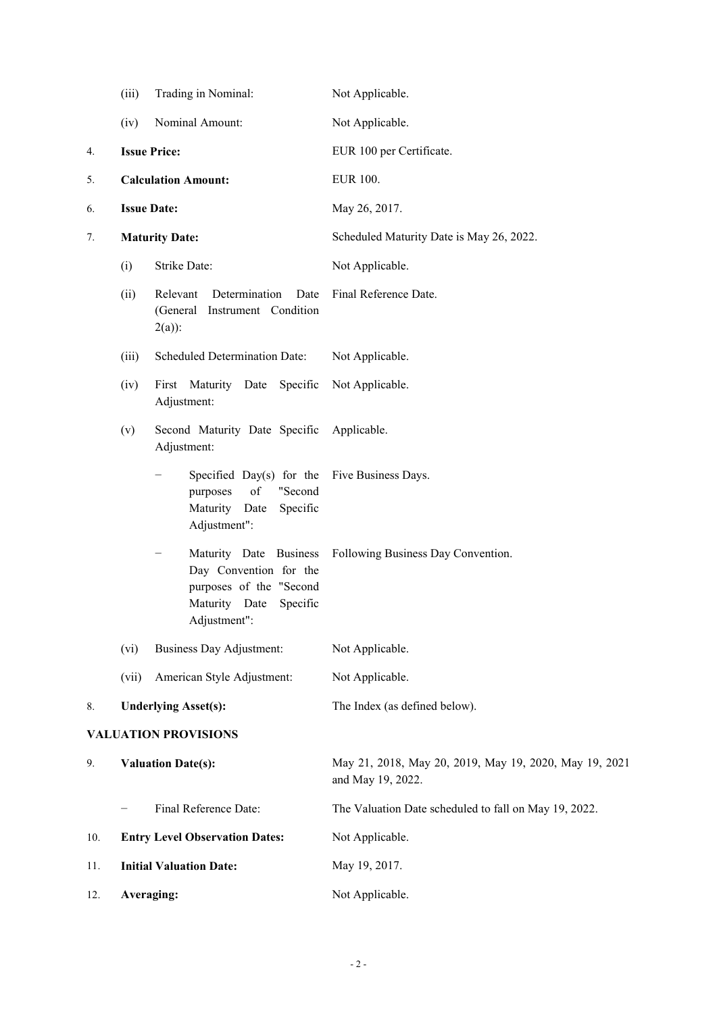|     | (iii) | Trading in Nominal:                                                                                                      | Not Applicable.                                                             |
|-----|-------|--------------------------------------------------------------------------------------------------------------------------|-----------------------------------------------------------------------------|
|     | (iv)  | Nominal Amount:                                                                                                          | Not Applicable.                                                             |
| 4.  |       | <b>Issue Price:</b>                                                                                                      | EUR 100 per Certificate.                                                    |
| 5.  |       | <b>Calculation Amount:</b>                                                                                               | <b>EUR 100.</b>                                                             |
| 6.  |       | <b>Issue Date:</b>                                                                                                       | May 26, 2017.                                                               |
| 7.  |       | <b>Maturity Date:</b>                                                                                                    | Scheduled Maturity Date is May 26, 2022.                                    |
|     | (i)   | Strike Date:                                                                                                             | Not Applicable.                                                             |
|     | (ii)  | Relevant<br>Determination<br>Date<br>(General Instrument Condition<br>$2(a)$ :                                           | Final Reference Date.                                                       |
|     | (iii) | Scheduled Determination Date:                                                                                            | Not Applicable.                                                             |
|     | (iv)  | First Maturity Date<br>Specific<br>Adjustment:                                                                           | Not Applicable.                                                             |
|     | (v)   | Second Maturity Date Specific<br>Adjustment:                                                                             | Applicable.                                                                 |
|     |       | Specified Day(s) for the<br>of<br>"Second<br>purposes<br>Maturity Date<br>Specific<br>Adjustment":                       | Five Business Days.                                                         |
|     |       | Maturity Date Business<br>Day Convention for the<br>purposes of the "Second<br>Maturity Date<br>Specific<br>Adjustment": | Following Business Day Convention.                                          |
|     | (vi)  | <b>Business Day Adjustment:</b>                                                                                          | Not Applicable.                                                             |
|     | (vii) | American Style Adjustment:                                                                                               | Not Applicable.                                                             |
| 8.  |       | <b>Underlying Asset(s):</b>                                                                                              | The Index (as defined below).                                               |
|     |       | <b>VALUATION PROVISIONS</b>                                                                                              |                                                                             |
| 9.  |       | <b>Valuation Date(s):</b>                                                                                                | May 21, 2018, May 20, 2019, May 19, 2020, May 19, 2021<br>and May 19, 2022. |
|     |       | Final Reference Date:                                                                                                    | The Valuation Date scheduled to fall on May 19, 2022.                       |
| 10. |       | <b>Entry Level Observation Dates:</b>                                                                                    | Not Applicable.                                                             |
| 11. |       | <b>Initial Valuation Date:</b>                                                                                           | May 19, 2017.                                                               |
| 12. |       | Averaging:                                                                                                               | Not Applicable.                                                             |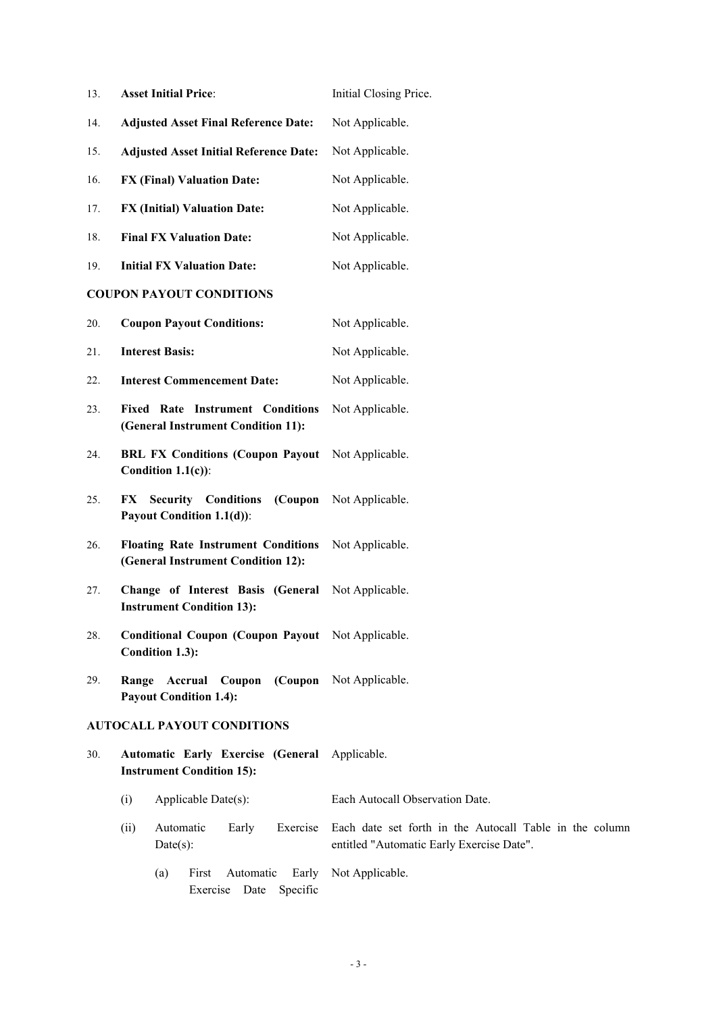| <b>Asset Initial Price:</b><br>Initial Closing Price.<br>13.<br>Not Applicable.<br><b>Adjusted Asset Final Reference Date:</b><br>14.<br><b>Adjusted Asset Initial Reference Date:</b><br>Not Applicable.<br>15.<br>Not Applicable.<br>16.<br><b>FX (Final) Valuation Date:</b><br><b>FX (Initial) Valuation Date:</b><br>17.<br>Not Applicable.<br>Not Applicable.<br>18.<br><b>Final FX Valuation Date:</b><br><b>Initial FX Valuation Date:</b><br>19.<br>Not Applicable.<br><b>COUPON PAYOUT CONDITIONS</b><br><b>Coupon Payout Conditions:</b><br>20.<br>Not Applicable.<br>21.<br><b>Interest Basis:</b><br>Not Applicable.<br><b>Interest Commencement Date:</b><br>Not Applicable.<br>22.<br>23.<br><b>Fixed Rate Instrument Conditions</b><br>Not Applicable.<br>(General Instrument Condition 11):<br>24.<br><b>BRL FX Conditions (Coupon Payout)</b><br>Not Applicable. |  |
|------------------------------------------------------------------------------------------------------------------------------------------------------------------------------------------------------------------------------------------------------------------------------------------------------------------------------------------------------------------------------------------------------------------------------------------------------------------------------------------------------------------------------------------------------------------------------------------------------------------------------------------------------------------------------------------------------------------------------------------------------------------------------------------------------------------------------------------------------------------------------------|--|
|                                                                                                                                                                                                                                                                                                                                                                                                                                                                                                                                                                                                                                                                                                                                                                                                                                                                                    |  |
|                                                                                                                                                                                                                                                                                                                                                                                                                                                                                                                                                                                                                                                                                                                                                                                                                                                                                    |  |
|                                                                                                                                                                                                                                                                                                                                                                                                                                                                                                                                                                                                                                                                                                                                                                                                                                                                                    |  |
|                                                                                                                                                                                                                                                                                                                                                                                                                                                                                                                                                                                                                                                                                                                                                                                                                                                                                    |  |
|                                                                                                                                                                                                                                                                                                                                                                                                                                                                                                                                                                                                                                                                                                                                                                                                                                                                                    |  |
|                                                                                                                                                                                                                                                                                                                                                                                                                                                                                                                                                                                                                                                                                                                                                                                                                                                                                    |  |
|                                                                                                                                                                                                                                                                                                                                                                                                                                                                                                                                                                                                                                                                                                                                                                                                                                                                                    |  |
|                                                                                                                                                                                                                                                                                                                                                                                                                                                                                                                                                                                                                                                                                                                                                                                                                                                                                    |  |
|                                                                                                                                                                                                                                                                                                                                                                                                                                                                                                                                                                                                                                                                                                                                                                                                                                                                                    |  |
|                                                                                                                                                                                                                                                                                                                                                                                                                                                                                                                                                                                                                                                                                                                                                                                                                                                                                    |  |
|                                                                                                                                                                                                                                                                                                                                                                                                                                                                                                                                                                                                                                                                                                                                                                                                                                                                                    |  |
|                                                                                                                                                                                                                                                                                                                                                                                                                                                                                                                                                                                                                                                                                                                                                                                                                                                                                    |  |
| Condition $1.1(c)$ :                                                                                                                                                                                                                                                                                                                                                                                                                                                                                                                                                                                                                                                                                                                                                                                                                                                               |  |
| Not Applicable.<br>25.<br>FX.<br><b>Security Conditions</b><br>(Coupon<br>Payout Condition 1.1(d)):                                                                                                                                                                                                                                                                                                                                                                                                                                                                                                                                                                                                                                                                                                                                                                                |  |
| 26.<br><b>Floating Rate Instrument Conditions</b><br>Not Applicable.<br>(General Instrument Condition 12):                                                                                                                                                                                                                                                                                                                                                                                                                                                                                                                                                                                                                                                                                                                                                                         |  |
| Change of Interest Basis (General<br>Not Applicable.<br>27.<br><b>Instrument Condition 13):</b>                                                                                                                                                                                                                                                                                                                                                                                                                                                                                                                                                                                                                                                                                                                                                                                    |  |
| Conditional Coupon (Coupon Payout Not Applicable.<br>28.<br>Condition 1.3):                                                                                                                                                                                                                                                                                                                                                                                                                                                                                                                                                                                                                                                                                                                                                                                                        |  |
| <b>Accrual Coupon (Coupon Not Applicable.</b><br>29.<br>Range<br><b>Payout Condition 1.4):</b>                                                                                                                                                                                                                                                                                                                                                                                                                                                                                                                                                                                                                                                                                                                                                                                     |  |
| <b>AUTOCALL PAYOUT CONDITIONS</b>                                                                                                                                                                                                                                                                                                                                                                                                                                                                                                                                                                                                                                                                                                                                                                                                                                                  |  |
| Automatic Early Exercise (General Applicable.<br>30.<br><b>Instrument Condition 15):</b>                                                                                                                                                                                                                                                                                                                                                                                                                                                                                                                                                                                                                                                                                                                                                                                           |  |
| Applicable Date(s):<br>Each Autocall Observation Date.<br>(i)                                                                                                                                                                                                                                                                                                                                                                                                                                                                                                                                                                                                                                                                                                                                                                                                                      |  |
| Automatic<br>Exercise<br>Each date set forth in the Autocall Table in the column<br>(ii)<br>Early<br>$Date(s)$ :<br>entitled "Automatic Early Exercise Date".                                                                                                                                                                                                                                                                                                                                                                                                                                                                                                                                                                                                                                                                                                                      |  |
| Not Applicable.<br>First<br>Automatic<br>Early<br>(a)<br>Specific<br>Exercise Date                                                                                                                                                                                                                                                                                                                                                                                                                                                                                                                                                                                                                                                                                                                                                                                                 |  |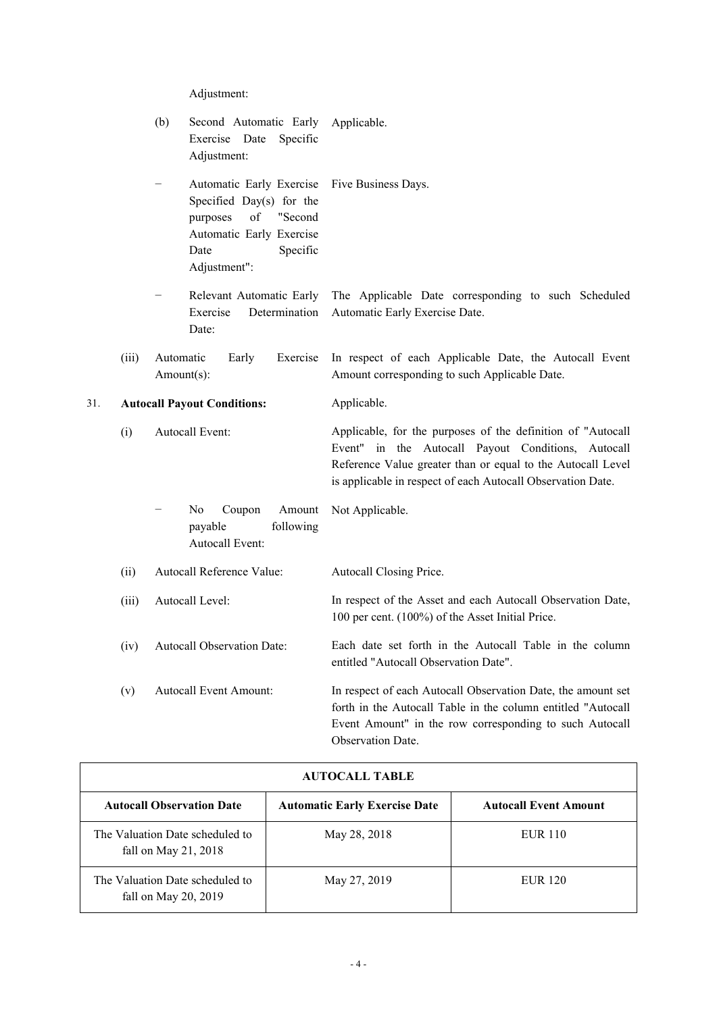Adjustment:

|     |       | (b)<br>Second Automatic Early Applicable.<br>Exercise Date<br>Specific<br>Adjustment:                                                             |                                                                                                                                                                                                                                                 |
|-----|-------|---------------------------------------------------------------------------------------------------------------------------------------------------|-------------------------------------------------------------------------------------------------------------------------------------------------------------------------------------------------------------------------------------------------|
|     |       | Automatic Early Exercise<br>Specified Day(s) for the<br>of<br>"Second<br>purposes<br>Automatic Early Exercise<br>Date<br>Specific<br>Adjustment": | Five Business Days.                                                                                                                                                                                                                             |
|     |       | Exercise<br>Determination<br>Date:                                                                                                                | Relevant Automatic Early The Applicable Date corresponding to such Scheduled<br>Automatic Early Exercise Date.                                                                                                                                  |
|     | (iii) | Automatic<br>Early<br>Exercise<br>Amount(s):                                                                                                      | In respect of each Applicable Date, the Autocall Event<br>Amount corresponding to such Applicable Date.                                                                                                                                         |
| 31. |       | <b>Autocall Payout Conditions:</b>                                                                                                                | Applicable.                                                                                                                                                                                                                                     |
|     | (i)   | Autocall Event:                                                                                                                                   | Applicable, for the purposes of the definition of "Autocall<br>Event" in the Autocall Payout Conditions, Autocall<br>Reference Value greater than or equal to the Autocall Level<br>is applicable in respect of each Autocall Observation Date. |
|     |       | N <sub>0</sub><br>Amount<br>Coupon<br>following<br>payable<br>Autocall Event:                                                                     | Not Applicable.                                                                                                                                                                                                                                 |
|     | (ii)  | Autocall Reference Value:                                                                                                                         | Autocall Closing Price.                                                                                                                                                                                                                         |
|     | (iii) | Autocall Level:                                                                                                                                   | In respect of the Asset and each Autocall Observation Date,<br>100 per cent. (100%) of the Asset Initial Price.                                                                                                                                 |
|     | (iv)  | <b>Autocall Observation Date:</b>                                                                                                                 | Each date set forth in the Autocall Table in the column<br>entitled "Autocall Observation Date".                                                                                                                                                |
|     | (v)   | <b>Autocall Event Amount:</b>                                                                                                                     | In respect of each Autocall Observation Date, the amount set<br>forth in the Autocall Table in the column entitled "Autocall<br>Event Amount" in the row corresponding to such Autocall<br>Observation Date.                                    |

| AUTOCALL TABLE                                          |                                      |                              |
|---------------------------------------------------------|--------------------------------------|------------------------------|
| <b>Autocall Observation Date</b>                        | <b>Automatic Early Exercise Date</b> | <b>Autocall Event Amount</b> |
| The Valuation Date scheduled to<br>fall on May 21, 2018 | May 28, 2018                         | <b>EUR 110</b>               |
| The Valuation Date scheduled to<br>fall on May 20, 2019 | May 27, 2019                         | <b>EUR 120</b>               |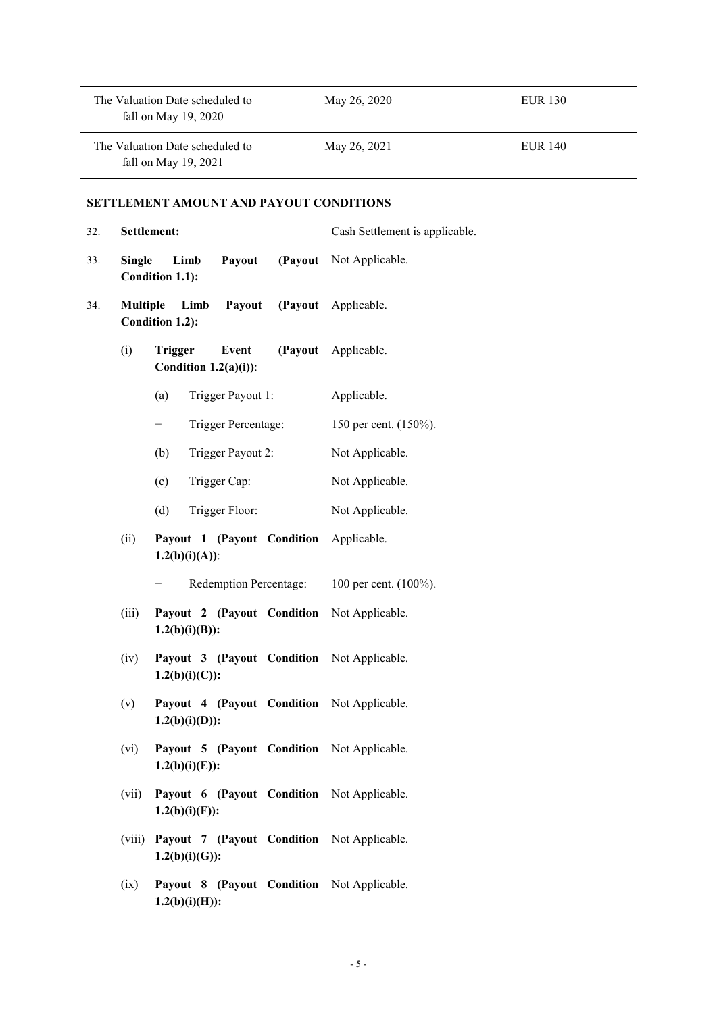| The Valuation Date scheduled to<br>fall on May $19, 2020$ | May 26, 2020 | <b>EUR 130</b> |
|-----------------------------------------------------------|--------------|----------------|
| The Valuation Date scheduled to<br>fall on May $19, 2021$ | May 26, 2021 | <b>EUR 140</b> |

## **SETTLEMENT AMOUNT AND PAYOUT CONDITIONS**

| 32. |                 | Settlement:                                                     | Cash Settlement is applicable. |
|-----|-----------------|-----------------------------------------------------------------|--------------------------------|
| 33. | <b>Single</b>   | Payout<br>Limb<br>Condition 1.1):                               | (Payout Not Applicable.        |
| 34. | <b>Multiple</b> | Payout<br>Limb<br>Condition 1.2):                               | (Payout Applicable.            |
|     | (i)             | Event<br><b>Trigger</b><br>Condition $1.2(a)(i)$ :              | (Payout Applicable.            |
|     |                 | (a)<br>Trigger Payout 1:                                        | Applicable.                    |
|     |                 | Trigger Percentage:<br>—                                        | 150 per cent. (150%).          |
|     |                 | (b)<br>Trigger Payout 2:                                        | Not Applicable.                |
|     |                 | (c)<br>Trigger Cap:                                             | Not Applicable.                |
|     |                 | (d)<br>Trigger Floor:                                           | Not Applicable.                |
|     | (ii)            | Payout 1 (Payout Condition<br>$1.2(b)(i)(A))$ :                 | Applicable.                    |
|     |                 | Redemption Percentage: 100 per cent. (100%).                    |                                |
|     | (iii)           | Payout 2 (Payout Condition Not Applicable.<br>$1.2(b)(i)(B))$ : |                                |
|     | (iv)            | Payout 3 (Payout Condition Not Applicable.<br>$1.2(b)(i)(C))$ : |                                |
|     | (v)             | Payout 4 (Payout Condition Not Applicable.<br>$1.2(b)(i)(D))$ : |                                |
|     | (vi)            | Payout 5 (Payout Condition Not Applicable.<br>$1.2(b)(i)(E))$ : |                                |
|     | (vii)           | Payout 6 (Payout Condition Not Applicable.<br>$1.2(b)(i)(F)$ :  |                                |
|     | (viii)          | Payout 7 (Payout Condition Not Applicable.<br>$1.2(b)(i)(G))$ : |                                |
|     | (ix)            | Payout 8 (Payout Condition Not Applicable.                      |                                |

**1.2(b)(i)(H)):**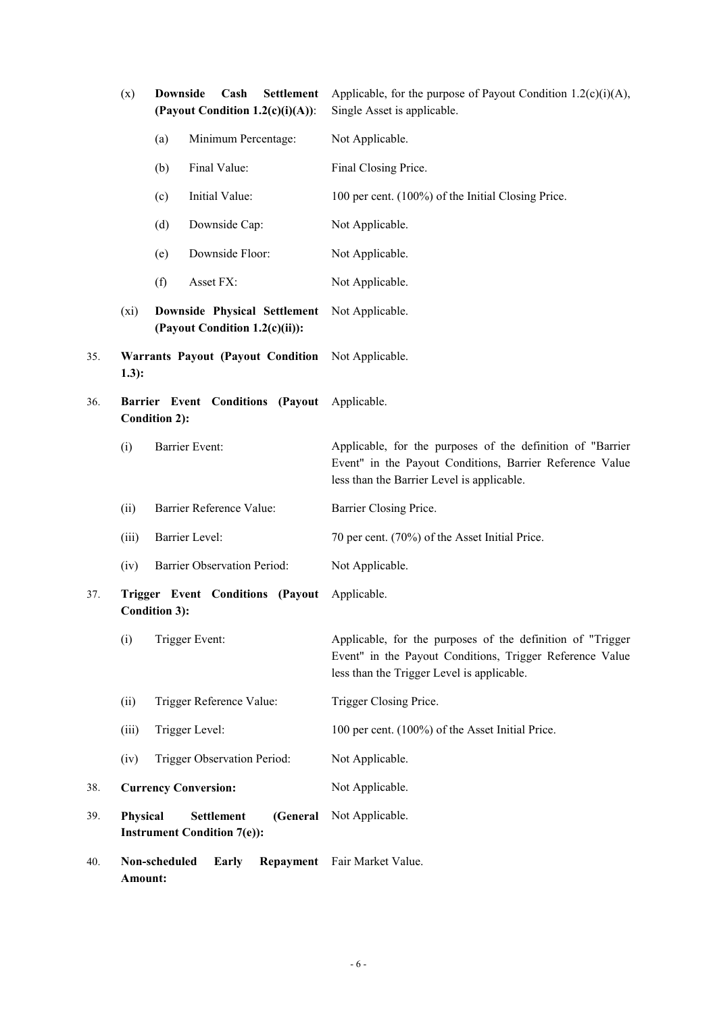|     | (x)      | <b>Downside</b><br>Cash<br><b>Settlement</b><br>(Payout Condition $1.2(c)(i)(A))$ : | Applicable, for the purpose of Payout Condition $1.2(c)(i)(A)$ ,<br>Single Asset is applicable.                                                                      |
|-----|----------|-------------------------------------------------------------------------------------|----------------------------------------------------------------------------------------------------------------------------------------------------------------------|
|     |          | Minimum Percentage:<br>(a)                                                          | Not Applicable.                                                                                                                                                      |
|     |          | Final Value:<br>(b)                                                                 | Final Closing Price.                                                                                                                                                 |
|     |          | Initial Value:<br>(c)                                                               | 100 per cent. (100%) of the Initial Closing Price.                                                                                                                   |
|     |          | (d)<br>Downside Cap:                                                                | Not Applicable.                                                                                                                                                      |
|     |          | Downside Floor:<br>(e)                                                              | Not Applicable.                                                                                                                                                      |
|     |          | (f)<br>Asset FX:                                                                    | Not Applicable.                                                                                                                                                      |
|     | (xi)     | <b>Downside Physical Settlement</b><br>(Payout Condition 1.2(c)(ii)):               | Not Applicable.                                                                                                                                                      |
| 35. | $1.3$ :  | <b>Warrants Payout (Payout Condition</b>                                            | Not Applicable.                                                                                                                                                      |
| 36. |          | Barrier Event Conditions (Payout Applicable.<br><b>Condition 2):</b>                |                                                                                                                                                                      |
|     | (i)      | Barrier Event:                                                                      | Applicable, for the purposes of the definition of "Barrier<br>Event" in the Payout Conditions, Barrier Reference Value<br>less than the Barrier Level is applicable. |
|     | (ii)     | Barrier Reference Value:                                                            | Barrier Closing Price.                                                                                                                                               |
|     | (iii)    | Barrier Level:                                                                      | 70 per cent. (70%) of the Asset Initial Price.                                                                                                                       |
|     | (iv)     | Barrier Observation Period:                                                         | Not Applicable.                                                                                                                                                      |
| 37. |          | <b>Trigger Event Conditions (Payout</b><br><b>Condition 3):</b>                     | Applicable.                                                                                                                                                          |
|     | (i)      | Trigger Event:                                                                      | Applicable, for the purposes of the definition of "Trigger<br>Event" in the Payout Conditions, Trigger Reference Value<br>less than the Trigger Level is applicable. |
|     | (ii)     | Trigger Reference Value:                                                            | Trigger Closing Price.                                                                                                                                               |
|     | (iii)    | Trigger Level:                                                                      | 100 per cent. (100%) of the Asset Initial Price.                                                                                                                     |
|     | (iv)     | Trigger Observation Period:                                                         | Not Applicable.                                                                                                                                                      |
| 38. |          | <b>Currency Conversion:</b>                                                         | Not Applicable.                                                                                                                                                      |
| 39. | Physical | Settlement<br>(General<br><b>Instrument Condition 7(e)):</b>                        | Not Applicable.                                                                                                                                                      |
| 40. | Amount:  | Non-scheduled<br>Early<br>Repayment                                                 | Fair Market Value.                                                                                                                                                   |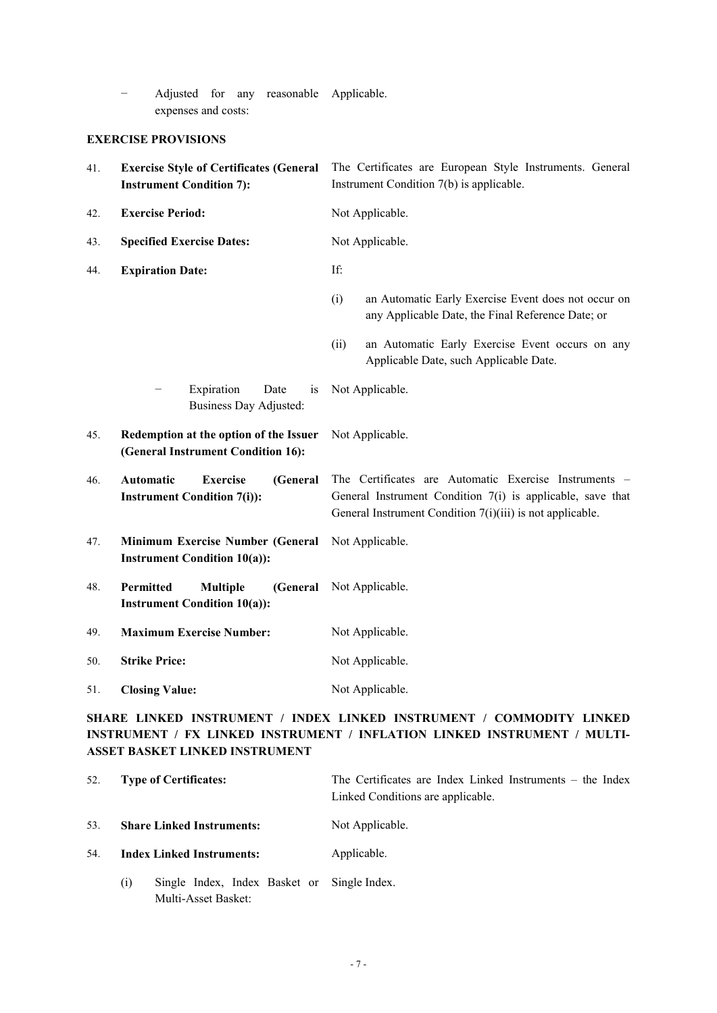− Adjusted for any reasonable Applicable. expenses and costs:

## **EXERCISE PROVISIONS**

| 41. | <b>Exercise Style of Certificates (General</b><br><b>Instrument Condition 7):</b> | The Certificates are European Style Instruments. General<br>Instrument Condition 7(b) is applicable.                                                                             |  |
|-----|-----------------------------------------------------------------------------------|----------------------------------------------------------------------------------------------------------------------------------------------------------------------------------|--|
| 42. | <b>Exercise Period:</b>                                                           | Not Applicable.                                                                                                                                                                  |  |
| 43. | <b>Specified Exercise Dates:</b>                                                  | Not Applicable.                                                                                                                                                                  |  |
| 44. | <b>Expiration Date:</b>                                                           | If:                                                                                                                                                                              |  |
|     |                                                                                   | an Automatic Early Exercise Event does not occur on<br>(i)<br>any Applicable Date, the Final Reference Date; or                                                                  |  |
|     |                                                                                   | (ii)<br>an Automatic Early Exercise Event occurs on any<br>Applicable Date, such Applicable Date.                                                                                |  |
|     | Expiration<br>Date<br>is<br><b>Business Day Adjusted:</b>                         | Not Applicable.                                                                                                                                                                  |  |
| 45. | Redemption at the option of the Issuer<br>(General Instrument Condition 16):      | Not Applicable.                                                                                                                                                                  |  |
| 46. | Automatic<br><b>Exercise</b><br>(General<br><b>Instrument Condition 7(i)):</b>    | The Certificates are Automatic Exercise Instruments –<br>General Instrument Condition 7(i) is applicable, save that<br>General Instrument Condition 7(i)(iii) is not applicable. |  |
| 47. | Minimum Exercise Number (General<br><b>Instrument Condition 10(a)):</b>           | Not Applicable.                                                                                                                                                                  |  |
| 48. | Permitted<br><b>Multiple</b><br>(General<br><b>Instrument Condition 10(a)):</b>   | Not Applicable.                                                                                                                                                                  |  |
| 49. | <b>Maximum Exercise Number:</b>                                                   | Not Applicable.                                                                                                                                                                  |  |
| 50. | <b>Strike Price:</b>                                                              | Not Applicable.                                                                                                                                                                  |  |
| 51. | <b>Closing Value:</b>                                                             | Not Applicable.                                                                                                                                                                  |  |

## **SHARE LINKED INSTRUMENT / INDEX LINKED INSTRUMENT / COMMODITY LINKED INSTRUMENT / FX LINKED INSTRUMENT / INFLATION LINKED INSTRUMENT / MULTI-ASSET BASKET LINKED INSTRUMENT**

| 52. | <b>Type of Certificates:</b>                                              | The Certificates are Index Linked Instruments – the Index<br>Linked Conditions are applicable. |
|-----|---------------------------------------------------------------------------|------------------------------------------------------------------------------------------------|
| 53. | <b>Share Linked Instruments:</b>                                          | Not Applicable.                                                                                |
| 54. | <b>Index Linked Instruments:</b>                                          | Applicable.                                                                                    |
|     | Single Index, Index Basket or Single Index.<br>(i)<br>Multi-Asset Basket: |                                                                                                |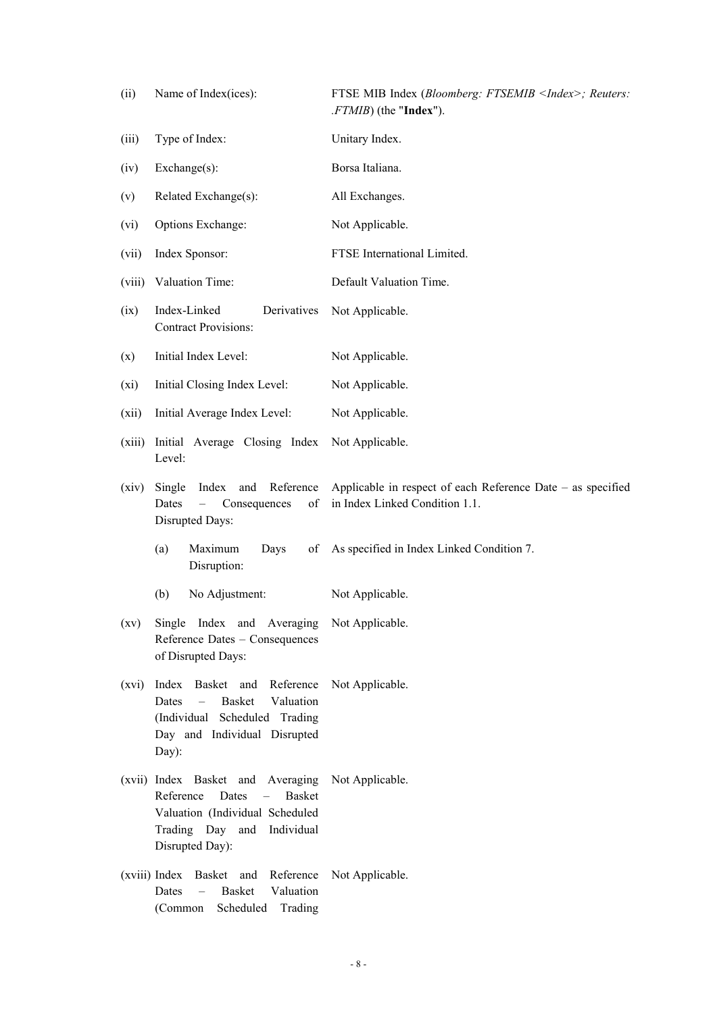| (ii)               | Name of Index(ices):                                                                                                                                                | FTSE MIB Index (Bloomberg: FTSEMIB <index>; Reuters:<br/>.FTMIB) (the "Index").</index>       |
|--------------------|---------------------------------------------------------------------------------------------------------------------------------------------------------------------|-----------------------------------------------------------------------------------------------|
| (iii)              | Type of Index:                                                                                                                                                      | Unitary Index.                                                                                |
| (iv)               | $Exchange(s)$ :                                                                                                                                                     | Borsa Italiana.                                                                               |
| (v)                | Related Exchange(s):                                                                                                                                                | All Exchanges.                                                                                |
| (vi)               | Options Exchange:                                                                                                                                                   | Not Applicable.                                                                               |
| (vii)              | Index Sponsor:                                                                                                                                                      | FTSE International Limited.                                                                   |
| (viii)             | Valuation Time:                                                                                                                                                     | Default Valuation Time.                                                                       |
| (ix)               | Index-Linked<br>Derivatives<br><b>Contract Provisions:</b>                                                                                                          | Not Applicable.                                                                               |
| (x)                | Initial Index Level:                                                                                                                                                | Not Applicable.                                                                               |
| (xi)               | Initial Closing Index Level:                                                                                                                                        | Not Applicable.                                                                               |
| (xii)              | Initial Average Index Level:                                                                                                                                        | Not Applicable.                                                                               |
| (xiii)             | Initial Average Closing Index<br>Level:                                                                                                                             | Not Applicable.                                                                               |
| (xiv)              | Reference<br>Index<br>and<br>Single<br>of<br>Dates<br>Consequences<br>Disrupted Days:                                                                               | Applicable in respect of each Reference Date – as specified<br>in Index Linked Condition 1.1. |
|                    | Maximum<br>Days<br>(a)<br>of<br>Disruption:                                                                                                                         | As specified in Index Linked Condition 7.                                                     |
|                    | No Adjustment:<br>(b)                                                                                                                                               | Not Applicable.                                                                               |
| $\left( xy\right)$ | Single Index and Averaging Not Applicable.<br>Reference Dates - Consequences<br>of Disrupted Days:                                                                  |                                                                                               |
| (xvi)              | Index Basket and Reference<br>Valuation<br><b>Basket</b><br>Dates<br>$\qquad \qquad -$<br>(Individual Scheduled Trading<br>Day and Individual Disrupted<br>Day):    | Not Applicable.                                                                               |
|                    | (xvii) Index Basket and Averaging<br>Reference<br>Dates<br>Basket<br>$\sim$ $-$<br>Valuation (Individual Scheduled<br>Trading Day and Individual<br>Disrupted Day): | Not Applicable.                                                                               |
|                    | (xviii) Index Basket and Reference<br>Valuation<br>Dates<br><b>Basket</b><br>$\overline{\phantom{m}}$<br>Scheduled Trading<br>(Common                               | Not Applicable.                                                                               |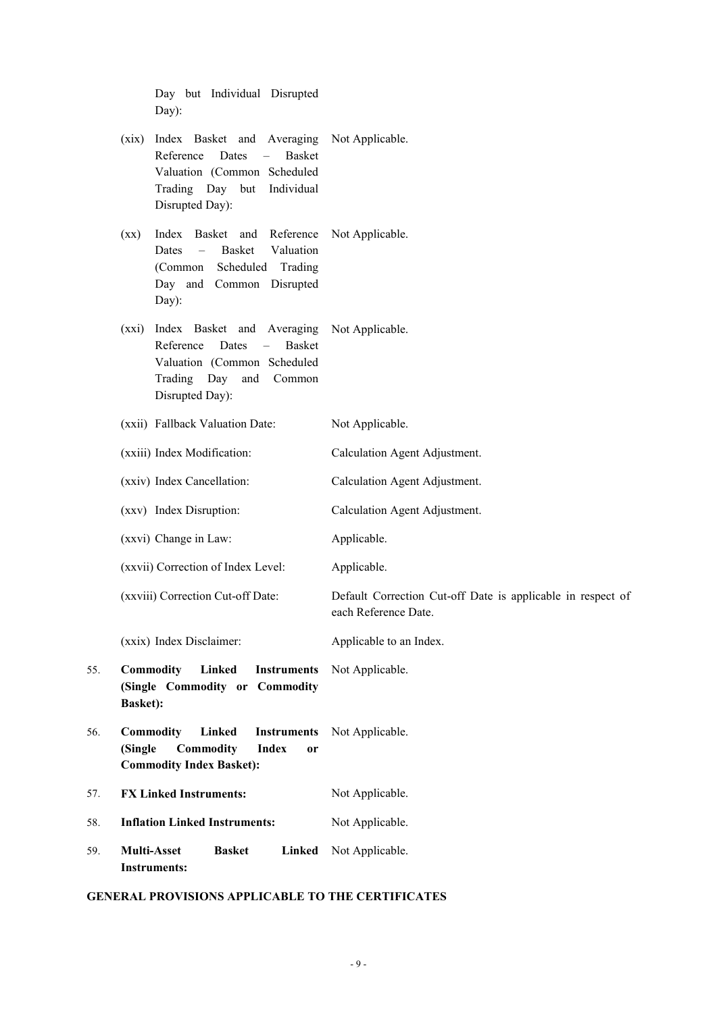|     | Day but Individual Disrupted<br>Day):                                                                                                                                                                     |                                                                                     |
|-----|-----------------------------------------------------------------------------------------------------------------------------------------------------------------------------------------------------------|-------------------------------------------------------------------------------------|
|     | Index Basket and Averaging Not Applicable.<br>(xix)<br>Reference<br>Dates<br><b>Basket</b><br>$\overline{\phantom{0}}$<br>Valuation (Common Scheduled<br>Trading Day but<br>Individual<br>Disrupted Day): |                                                                                     |
|     | Index<br>Basket and Reference<br>(xx)<br><b>Basket</b><br>Valuation<br>Dates<br>$\equiv$<br>Scheduled Trading<br>(Common<br>Day and Common Disrupted<br>Day):                                             | Not Applicable.                                                                     |
|     | Index Basket and Averaging Not Applicable.<br>(xxi)<br>Reference<br><b>Basket</b><br>Dates<br>$\equiv$<br>Valuation (Common Scheduled<br>Trading<br>Day<br>and<br>Common<br>Disrupted Day):               |                                                                                     |
|     | (xxii) Fallback Valuation Date:                                                                                                                                                                           | Not Applicable.                                                                     |
|     | (xxiii) Index Modification:                                                                                                                                                                               | Calculation Agent Adjustment.                                                       |
|     | (xxiv) Index Cancellation:                                                                                                                                                                                | Calculation Agent Adjustment.                                                       |
|     | (xxv) Index Disruption:                                                                                                                                                                                   | Calculation Agent Adjustment.                                                       |
|     | (xxvi) Change in Law:                                                                                                                                                                                     | Applicable.                                                                         |
|     | (xxvii) Correction of Index Level:                                                                                                                                                                        | Applicable.                                                                         |
|     | (xxviii) Correction Cut-off Date:                                                                                                                                                                         | Default Correction Cut-off Date is applicable in respect of<br>each Reference Date. |
|     | (xxix) Index Disclaimer:                                                                                                                                                                                  | Applicable to an Index.                                                             |
| 55. | Commodity<br>Linked<br><b>Instruments</b><br>(Single Commodity or Commodity<br><b>Basket):</b>                                                                                                            | Not Applicable.                                                                     |
| 56. | Commodity<br>Linked<br><b>Instruments</b><br>(Single<br>Commodity<br><b>Index</b><br>or<br><b>Commodity Index Basket):</b>                                                                                | Not Applicable.                                                                     |
| 57. | <b>FX Linked Instruments:</b>                                                                                                                                                                             | Not Applicable.                                                                     |
| 58. | <b>Inflation Linked Instruments:</b>                                                                                                                                                                      | Not Applicable.                                                                     |
| 59. | <b>Multi-Asset</b><br>Linked<br><b>Basket</b><br><b>Instruments:</b>                                                                                                                                      | Not Applicable.                                                                     |
|     |                                                                                                                                                                                                           |                                                                                     |

# **GENERAL PROVISIONS APPLICABLE TO THE CERTIFICATES**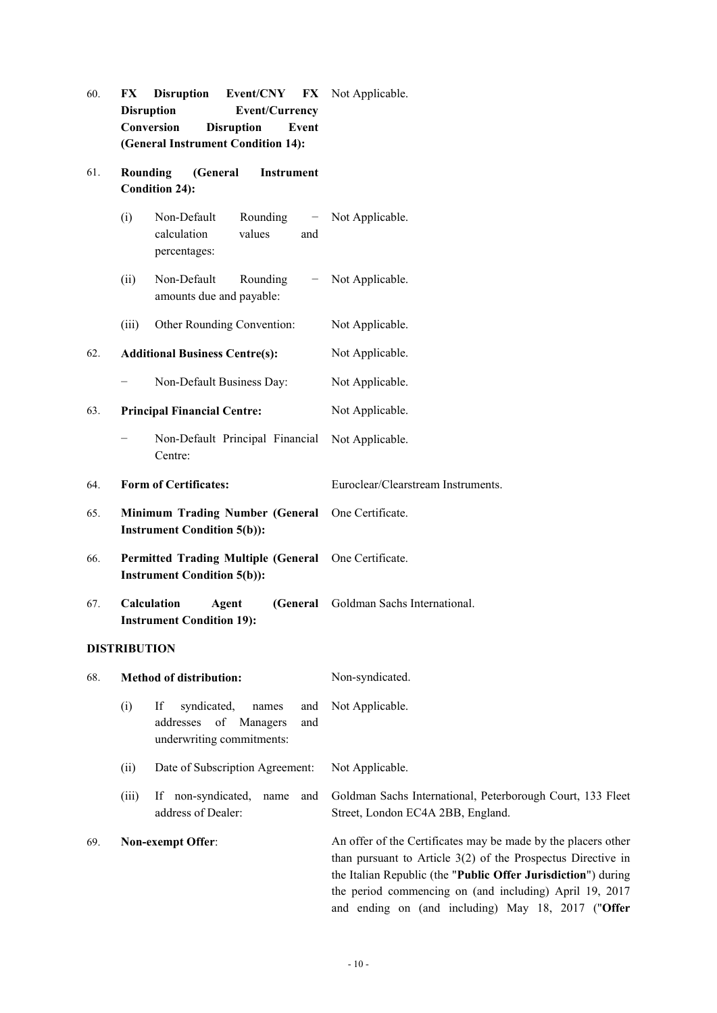- 60. **FX Disruption Event/CNY FX Disruption Event/Currency Conversion Disruption Event (General Instrument Condition 14):** FX Not Applicable.
- 61. **Rounding (General Instrument Condition 24):**
	- (i) Non-Default Rounding − calculation values and percentages: Not Applicable.
	- (ii) Non-Default Rounding amounts due and payable: Not Applicable.
	- (iii) Other Rounding Convention: Not Applicable.

62. **Additional Business Centre(s):** Not Applicable.

- − Non-Default Business Day: Not Applicable.
- 63. **Principal Financial Centre:** Not Applicable.
	- − Non-Default Principal Financial Centre: Not Applicable.
- 64. **Form of Certificates:** Euroclear/Clearstream Instruments.
- 65. **Minimum Trading Number (General Instrument Condition 5(b)):** One Certificate.
- 66. **Permitted Trading Multiple (General Instrument Condition 5(b)):** One Certificate.
- 67. **Calculation Agent (General Instrument Condition 19):** Goldman Sachs International.

## **DISTRIBUTION**

| 68. |                          | <b>Method of distribution:</b>                                                                 | Non-syndicated.                                                                                                                                                                                                                                                                                                   |
|-----|--------------------------|------------------------------------------------------------------------------------------------|-------------------------------------------------------------------------------------------------------------------------------------------------------------------------------------------------------------------------------------------------------------------------------------------------------------------|
|     | (i)                      | If<br>syndicated,<br>and<br>names<br>addresses of Managers<br>and<br>underwriting commitments: | Not Applicable.                                                                                                                                                                                                                                                                                                   |
|     | (ii)                     | Date of Subscription Agreement:                                                                | Not Applicable.                                                                                                                                                                                                                                                                                                   |
|     | (iii)                    | If non-syndicated.<br>name<br>and<br>address of Dealer:                                        | Goldman Sachs International, Peterborough Court, 133 Fleet<br>Street, London EC4A 2BB, England.                                                                                                                                                                                                                   |
| 69. | <b>Non-exempt Offer:</b> |                                                                                                | An offer of the Certificates may be made by the placers other<br>than pursuant to Article $3(2)$ of the Prospectus Directive in<br>the Italian Republic (the "Public Offer Jurisdiction") during<br>the period commencing on (and including) April 19, 2017<br>and ending on (and including) May 18, 2017 ("Offer |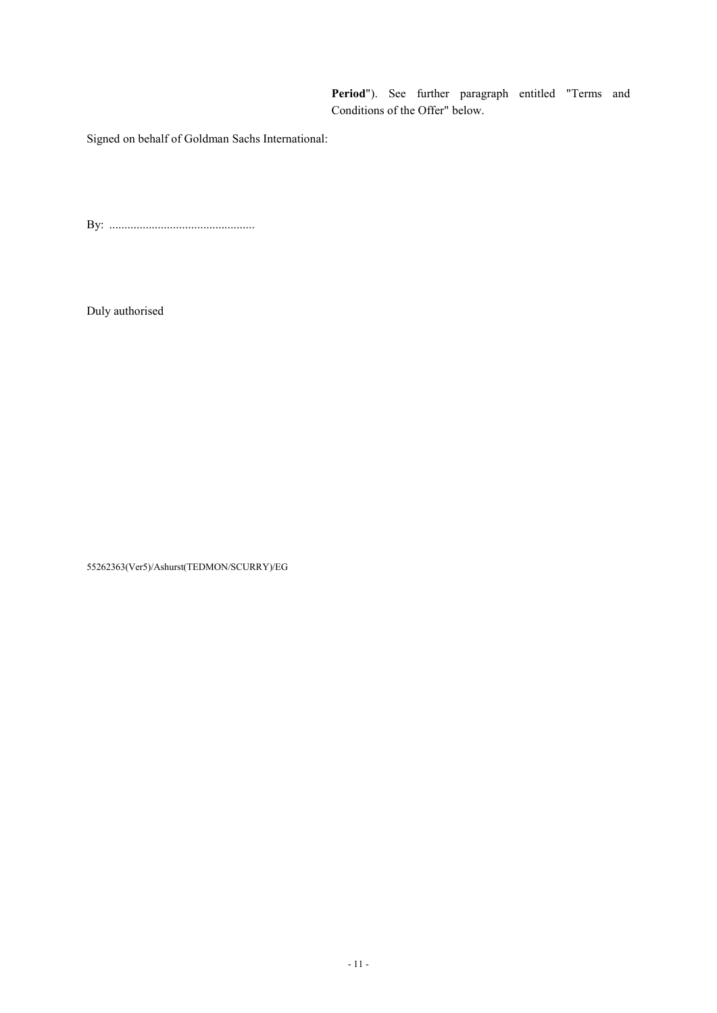**Period**"). See further paragraph entitled "Terms and Conditions of the Offer" below.

Signed on behalf of Goldman Sachs International:

By: ................................................

Duly authorised

55262363(Ver5)/Ashurst(TEDMON/SCURRY)/EG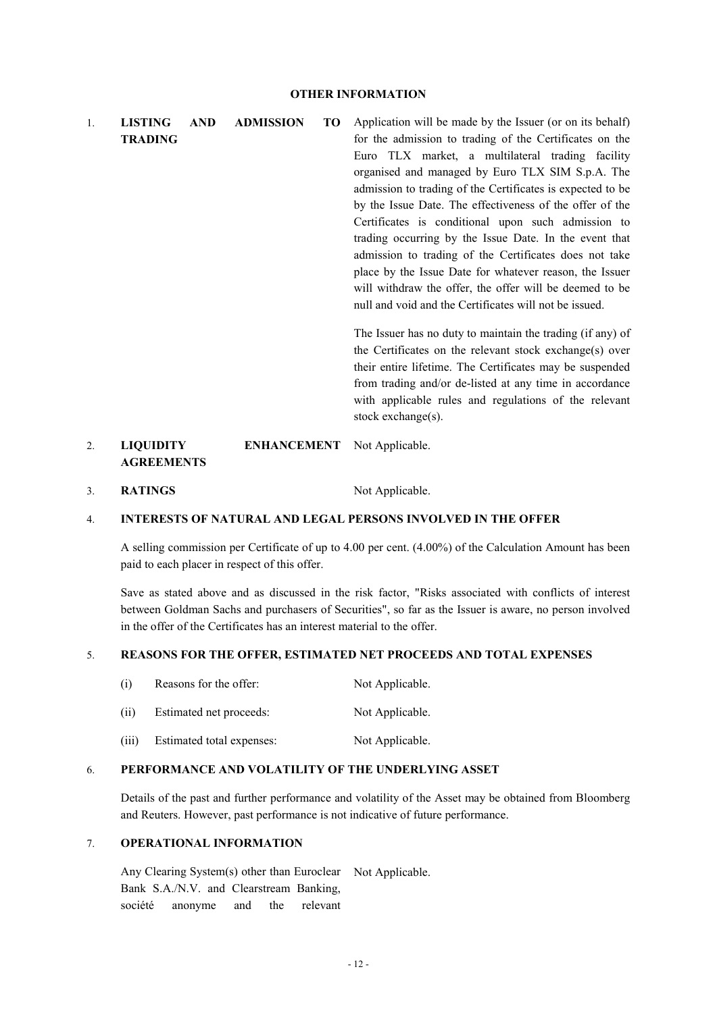1. **LISTING AND ADMISSION TO TRADING** Application will be made by the Issuer (or on its behalf) for the admission to trading of the Certificates on the Euro TLX market, a multilateral trading facility organised and managed by Euro TLX SIM S.p.A. The admission to trading of the Certificates is expected to be by the Issue Date. The effectiveness of the offer of the Certificates is conditional upon such admission to trading occurring by the Issue Date. In the event that admission to trading of the Certificates does not take place by the Issue Date for whatever reason, the Issuer will withdraw the offer, the offer will be deemed to be null and void and the Certificates will not be issued. The Issuer has no duty to maintain the trading (if any) of the Certificates on the relevant stock exchange(s) over their entire lifetime. The Certificates may be suspended

from trading and/or de-listed at any time in accordance with applicable rules and regulations of the relevant stock exchange(s).

#### 2. **LIQUIDITY ENHANCEMENT AGREEMENTS** Not Applicable.

3. **RATINGS** Not Applicable.

## 4. **INTERESTS OF NATURAL AND LEGAL PERSONS INVOLVED IN THE OFFER**

A selling commission per Certificate of up to 4.00 per cent. (4.00%) of the Calculation Amount has been paid to each placer in respect of this offer.

Save as stated above and as discussed in the risk factor, "Risks associated with conflicts of interest between Goldman Sachs and purchasers of Securities", so far as the Issuer is aware, no person involved in the offer of the Certificates has an interest material to the offer.

## 5. **REASONS FOR THE OFFER, ESTIMATED NET PROCEEDS AND TOTAL EXPENSES**

| (i)   | Reasons for the offer:    | Not Applicable. |
|-------|---------------------------|-----------------|
| (i)   | Estimated net proceeds:   | Not Applicable. |
| (iii) | Estimated total expenses: | Not Applicable. |

## 6. **PERFORMANCE AND VOLATILITY OF THE UNDERLYING ASSET**

Details of the past and further performance and volatility of the Asset may be obtained from Bloomberg and Reuters. However, past performance is not indicative of future performance.

#### 7. **OPERATIONAL INFORMATION**

Any Clearing System(s) other than Euroclear Not Applicable.Bank S.A./N.V. and Clearstream Banking, société anonyme and the relevant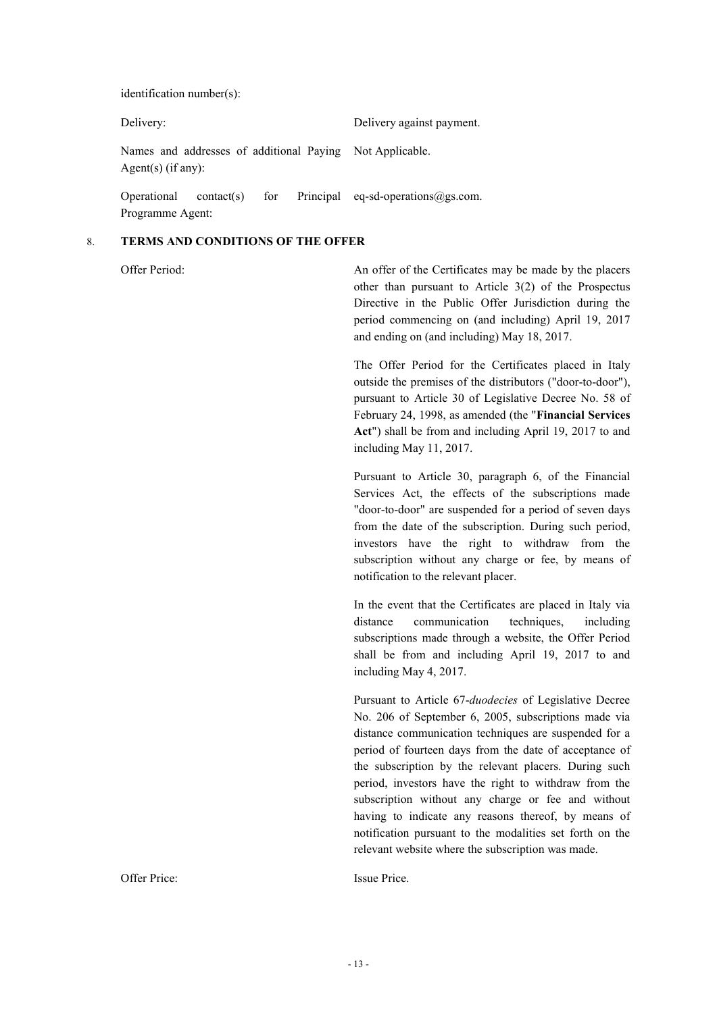identification number(s):

| Delivery:                       |  |                                                          | Delivery against payment.                                  |
|---------------------------------|--|----------------------------------------------------------|------------------------------------------------------------|
| Agent(s) (if any):              |  | Names and addresses of additional Paying Not Applicable. |                                                            |
| Operational<br>Programme Agent: |  |                                                          | contact(s) for Principal eq-sd-operations $\omega$ gs.com. |

#### 8. **TERMS AND CONDITIONS OF THE OFFER**

Offer Period: An offer of the Certificates may be made by the placers other than pursuant to Article 3(2) of the Prospectus Directive in the Public Offer Jurisdiction during the period commencing on (and including) April 19, 2017 and ending on (and including) May 18, 2017.

> The Offer Period for the Certificates placed in Italy outside the premises of the distributors ("door-to-door"), pursuant to Article 30 of Legislative Decree No. 58 of February 24, 1998, as amended (the "**Financial Services Act**") shall be from and including April 19, 2017 to and including May 11, 2017.

> Pursuant to Article 30, paragraph 6, of the Financial Services Act, the effects of the subscriptions made "door-to-door" are suspended for a period of seven days from the date of the subscription. During such period, investors have the right to withdraw from the subscription without any charge or fee, by means of notification to the relevant placer.

> In the event that the Certificates are placed in Italy via distance communication techniques, including subscriptions made through a website, the Offer Period shall be from and including April 19, 2017 to and including May 4, 2017.

> Pursuant to Article 67-*duodecies* of Legislative Decree No. 206 of September 6, 2005, subscriptions made via distance communication techniques are suspended for a period of fourteen days from the date of acceptance of the subscription by the relevant placers. During such period, investors have the right to withdraw from the subscription without any charge or fee and without having to indicate any reasons thereof, by means of notification pursuant to the modalities set forth on the relevant website where the subscription was made.

Offer Price: Issue Price.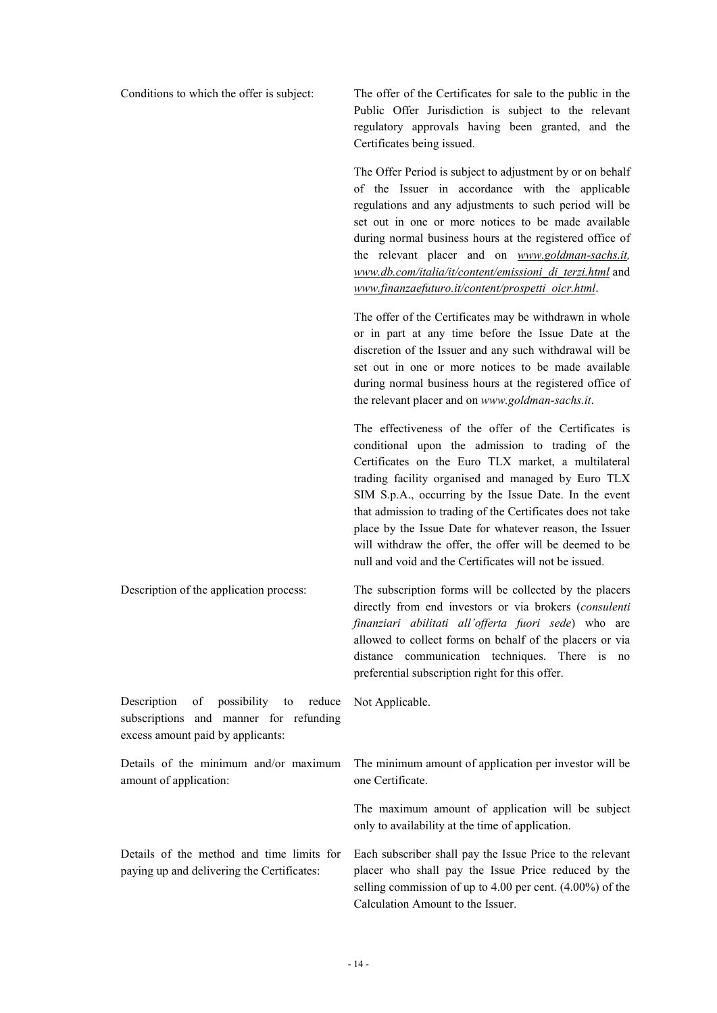Conditions to which the offer is subject: The offer of the Certificates for sale to the public in the Public Offer Jurisdiction is subject to the relevant regulatory approvals having been granted, and the Certificates being issued.

> The Offer Period is subject to adjustment by or on behalf of the Issuer in accordance with the applicable regulations and any adjustments to such period will be set out in one or more notices to be made available during normal business hours at the registered office of the relevant placer and on *www.goldman-sachs.it, www.db.com/italia/it/content/emissioni\_di\_terzi.html* and *www.finanzaefuturo.it/content/prospetti\_oicr.html*.

> The offer of the Certificates may be withdrawn in whole or in part at any time before the Issue Date at the discretion of the Issuer and any such withdrawal will be set out in one or more notices to be made available during normal business hours at the registered office of the relevant placer and on *www.goldman-sachs.it*.

> The effectiveness of the offer of the Certificates is conditional upon the admission to trading of the Certificates on the Euro TLX market, a multilateral trading facility organised and managed by Euro TLX SIM S.p.A., occurring by the Issue Date. In the event that admission to trading of the Certificates does not take place by the Issue Date for whatever reason, the Issuer will withdraw the offer, the offer will be deemed to be null and void and the Certificates will not be issued.

Description of the application process: The subscription forms will be collected by the placers directly from end investors or via brokers (*consulenti finanziari abilitati all'offerta fuori sede*) who are allowed to collect forms on behalf of the placers or via distance communication techniques. There is no preferential subscription right for this offer.

Description of possibility to reduce subscriptions and manner for refunding excess amount paid by applicants:

Details of the minimum and/or maximum amount of application:

Details of the method and time limits for paying up and delivering the Certificates:

Not Applicable.

The minimum amount of application per investor will be one Certificate.

The maximum amount of application will be subject only to availability at the time of application.

Each subscriber shall pay the Issue Price to the relevant placer who shall pay the Issue Price reduced by the selling commission of up to 4.00 per cent. (4.00%) of the Calculation Amount to the Issuer.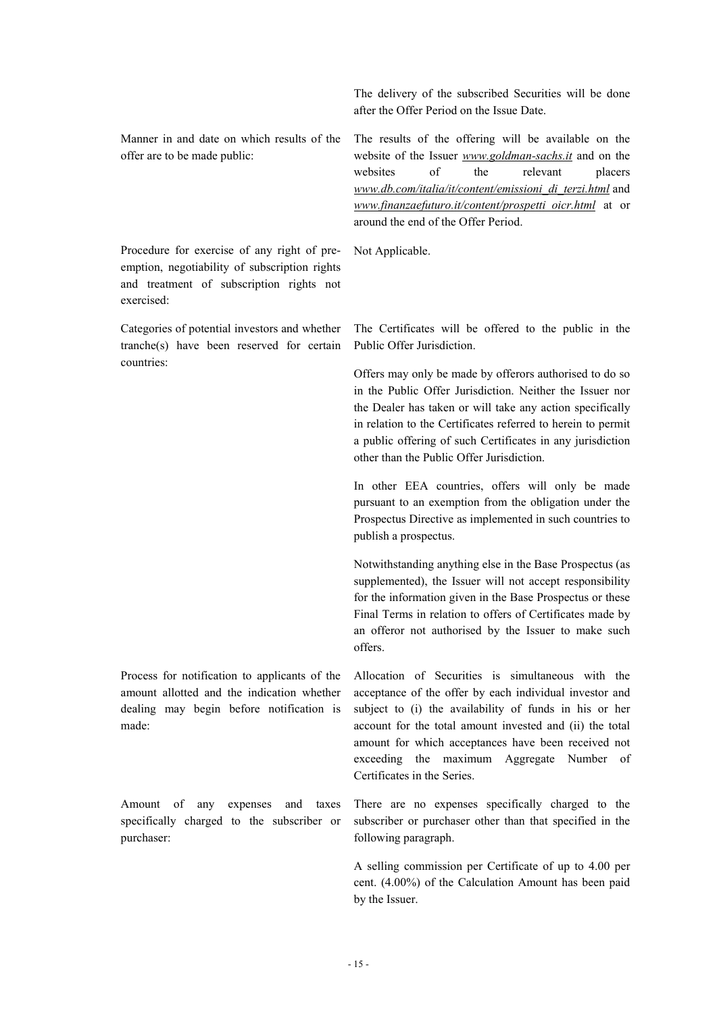Manner in and date on which results of the offer are to be made public:

Procedure for exercise of any right of preemption, negotiability of subscription rights and treatment of subscription rights not exercised:

Categories of potential investors and whether tranche(s) have been reserved for certain countries:

Process for notification to applicants of the amount allotted and the indication whether dealing may begin before notification is made:

Amount of any expenses and taxes specifically charged to the subscriber or purchaser:

The delivery of the subscribed Securities will be done after the Offer Period on the Issue Date.

The results of the offering will be available on the website of the Issuer *www.goldman-sachs.it* and on the websites of the relevant placers *www.db.com/italia/it/content/emissioni\_di\_terzi.html* and *www.finanzaefuturo.it/content/prospetti\_oicr.html* at or around the end of the Offer Period.

Not Applicable.

The Certificates will be offered to the public in the Public Offer Jurisdiction.

Offers may only be made by offerors authorised to do so in the Public Offer Jurisdiction. Neither the Issuer nor the Dealer has taken or will take any action specifically in relation to the Certificates referred to herein to permit a public offering of such Certificates in any jurisdiction other than the Public Offer Jurisdiction.

In other EEA countries, offers will only be made pursuant to an exemption from the obligation under the Prospectus Directive as implemented in such countries to publish a prospectus.

Notwithstanding anything else in the Base Prospectus (as supplemented), the Issuer will not accept responsibility for the information given in the Base Prospectus or these Final Terms in relation to offers of Certificates made by an offeror not authorised by the Issuer to make such offers.

Allocation of Securities is simultaneous with the acceptance of the offer by each individual investor and subject to (i) the availability of funds in his or her account for the total amount invested and (ii) the total amount for which acceptances have been received not exceeding the maximum Aggregate Number of Certificates in the Series.

There are no expenses specifically charged to the subscriber or purchaser other than that specified in the following paragraph.

A selling commission per Certificate of up to 4.00 per cent. (4.00%) of the Calculation Amount has been paid by the Issuer.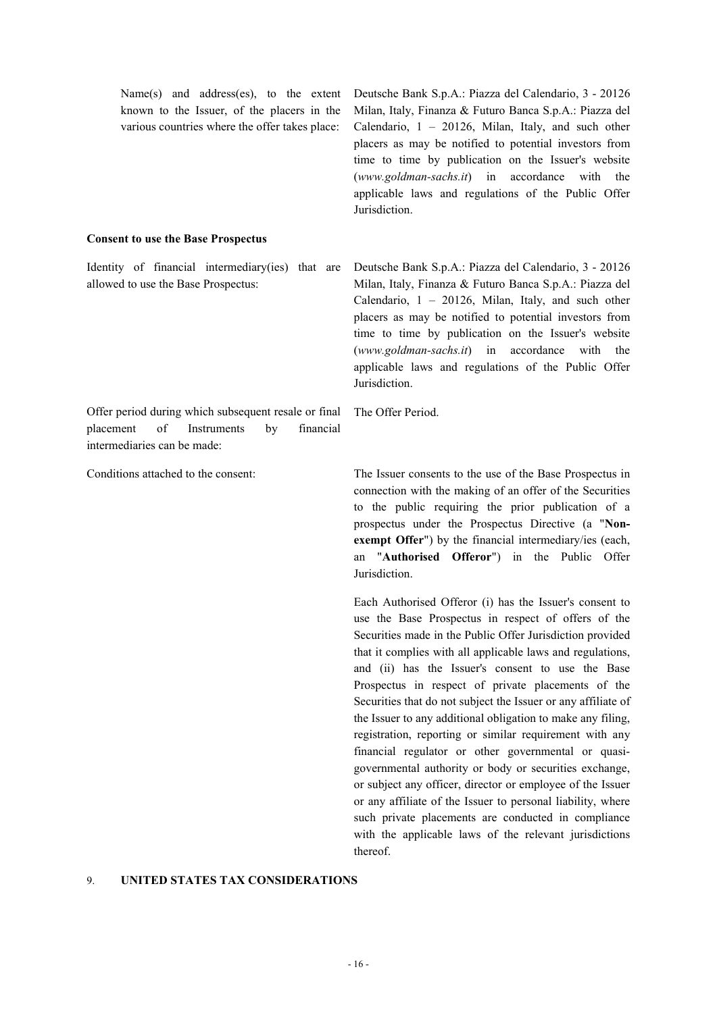| Name(s) and address(es), to the extent<br>known to the Issuer, of the placers in the<br>various countries where the offer takes place:                     | Deutsche Bank S.p.A.: Piazza del Calendario, 3 - 20126<br>Milan, Italy, Finanza & Futuro Banca S.p.A.: Piazza del<br>Calendario, 1 - 20126, Milan, Italy, and such other<br>placers as may be notified to potential investors from<br>time to time by publication on the Issuer's website<br>$(www. \text{goldman-sachs}.\text{it})$ in accordance with the<br>applicable laws and regulations of the Public Offer<br>Jurisdiction. |
|------------------------------------------------------------------------------------------------------------------------------------------------------------|-------------------------------------------------------------------------------------------------------------------------------------------------------------------------------------------------------------------------------------------------------------------------------------------------------------------------------------------------------------------------------------------------------------------------------------|
| <b>Consent to use the Base Prospectus</b>                                                                                                                  |                                                                                                                                                                                                                                                                                                                                                                                                                                     |
| Identity of financial intermediary (ies) that are<br>allowed to use the Base Prospectus:                                                                   | Deutsche Bank S.p.A.: Piazza del Calendario, 3 - 20126<br>Milan, Italy, Finanza & Futuro Banca S.p.A.: Piazza del<br>Calendario, 1 - 20126, Milan, Italy, and such other<br>placers as may be notified to potential investors from<br>time to time by publication on the Issuer's website<br>(www.goldman-sachs.it) in accordance with the<br>applicable laws and regulations of the Public Offer<br>Jurisdiction.                  |
| Offer period during which subsequent resale or final The Offer Period.<br>placement<br>of<br>Instruments<br>financial<br>by<br>intermediaries can be made: |                                                                                                                                                                                                                                                                                                                                                                                                                                     |

Conditions attached to the consent: The Issuer consents to the use of the Base Prospectus in connection with the making of an offer of the Securities to the public requiring the prior publication of a prospectus under the Prospectus Directive (a "**Nonexempt Offer**") by the financial intermediary/ies (each, an "**Authorised Offeror**") in the Public Offer Jurisdiction.

> Each Authorised Offeror (i) has the Issuer's consent to use the Base Prospectus in respect of offers of the Securities made in the Public Offer Jurisdiction provided that it complies with all applicable laws and regulations, and (ii) has the Issuer's consent to use the Base Prospectus in respect of private placements of the Securities that do not subject the Issuer or any affiliate of the Issuer to any additional obligation to make any filing, registration, reporting or similar requirement with any financial regulator or other governmental or quasigovernmental authority or body or securities exchange, or subject any officer, director or employee of the Issuer or any affiliate of the Issuer to personal liability, where such private placements are conducted in compliance with the applicable laws of the relevant jurisdictions thereof.

## 9. **UNITED STATES TAX CONSIDERATIONS**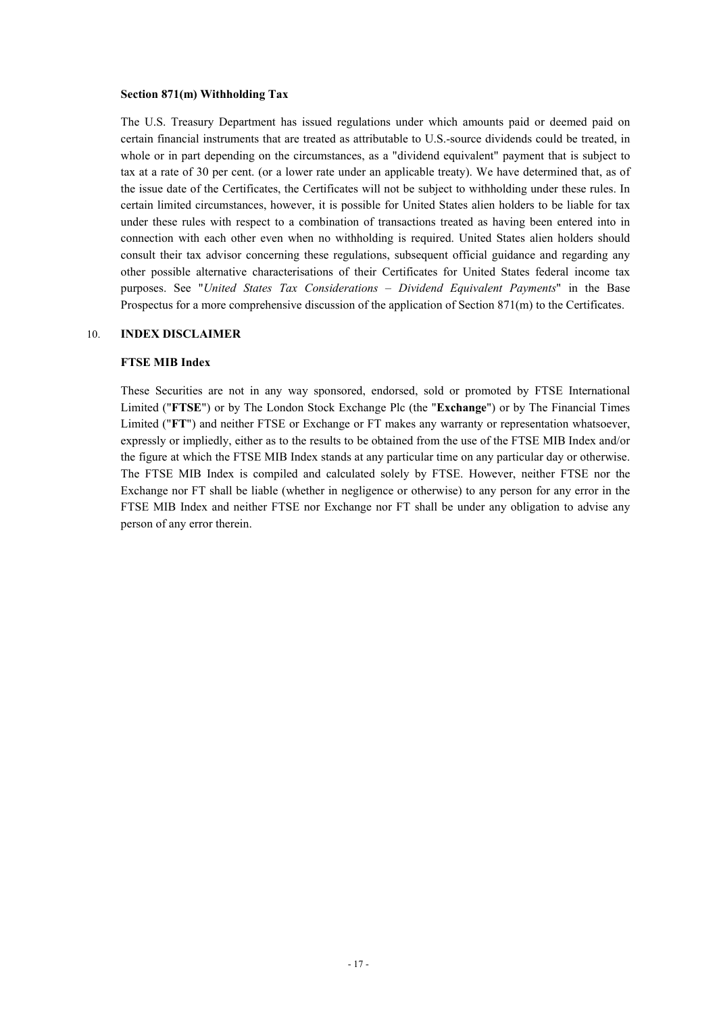#### **Section 871(m) Withholding Tax**

The U.S. Treasury Department has issued regulations under which amounts paid or deemed paid on certain financial instruments that are treated as attributable to U.S.-source dividends could be treated, in whole or in part depending on the circumstances, as a "dividend equivalent" payment that is subject to tax at a rate of 30 per cent. (or a lower rate under an applicable treaty). We have determined that, as of the issue date of the Certificates, the Certificates will not be subject to withholding under these rules. In certain limited circumstances, however, it is possible for United States alien holders to be liable for tax under these rules with respect to a combination of transactions treated as having been entered into in connection with each other even when no withholding is required. United States alien holders should consult their tax advisor concerning these regulations, subsequent official guidance and regarding any other possible alternative characterisations of their Certificates for United States federal income tax purposes. See "*United States Tax Considerations – Dividend Equivalent Payments*" in the Base Prospectus for a more comprehensive discussion of the application of Section 871(m) to the Certificates.

#### 10. **INDEX DISCLAIMER**

## **FTSE MIB Index**

These Securities are not in any way sponsored, endorsed, sold or promoted by FTSE International Limited ("**FTSE**") or by The London Stock Exchange Plc (the "**Exchange**") or by The Financial Times Limited ("**FT**") and neither FTSE or Exchange or FT makes any warranty or representation whatsoever, expressly or impliedly, either as to the results to be obtained from the use of the FTSE MIB Index and/or the figure at which the FTSE MIB Index stands at any particular time on any particular day or otherwise. The FTSE MIB Index is compiled and calculated solely by FTSE. However, neither FTSE nor the Exchange nor FT shall be liable (whether in negligence or otherwise) to any person for any error in the FTSE MIB Index and neither FTSE nor Exchange nor FT shall be under any obligation to advise any person of any error therein.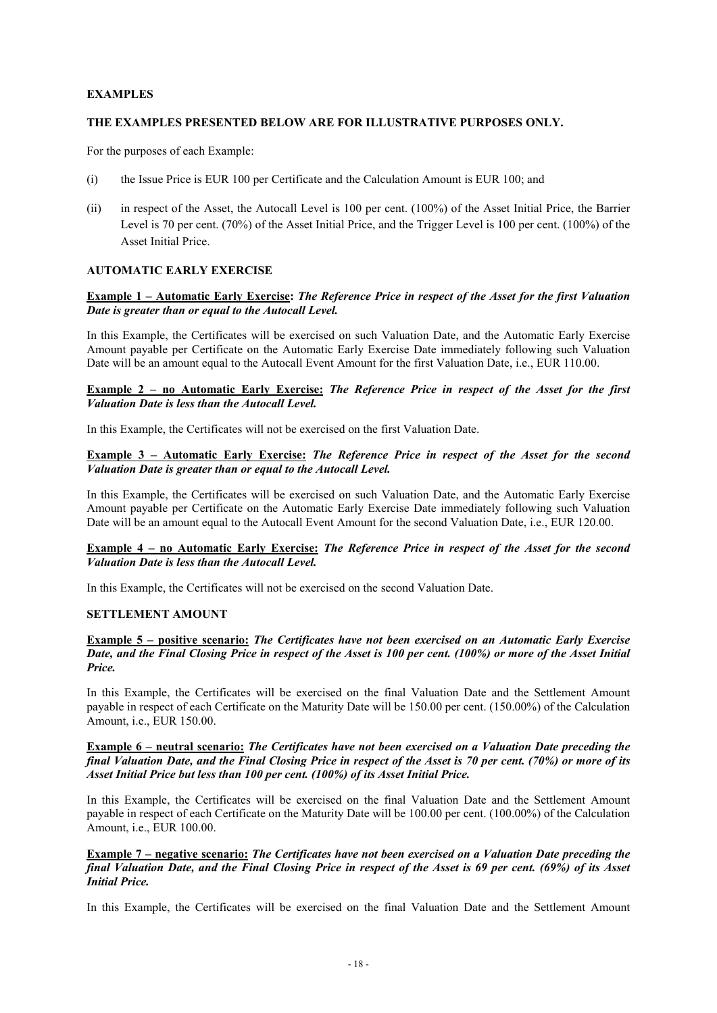## **EXAMPLES**

## **THE EXAMPLES PRESENTED BELOW ARE FOR ILLUSTRATIVE PURPOSES ONLY.**

For the purposes of each Example:

- (i) the Issue Price is EUR 100 per Certificate and the Calculation Amount is EUR 100; and
- (ii) in respect of the Asset, the Autocall Level is 100 per cent. (100%) of the Asset Initial Price, the Barrier Level is 70 per cent. (70%) of the Asset Initial Price, and the Trigger Level is 100 per cent. (100%) of the Asset Initial Price.

## **AUTOMATIC EARLY EXERCISE**

## **Example 1 – Automatic Early Exercise: The Reference Price in respect of the Asset for the first Valuation** *Date is greater than or equal to the Autocall Level.*

In this Example, the Certificates will be exercised on such Valuation Date, and the Automatic Early Exercise Amount payable per Certificate on the Automatic Early Exercise Date immediately following such Valuation Date will be an amount equal to the Autocall Event Amount for the first Valuation Date, i.e., EUR 110.00.

## **Example 2 – no Automatic Early Exercise:** *The Reference Price in respect of the Asset for the first Valuation Date is less than the Autocall Level.*

In this Example, the Certificates will not be exercised on the first Valuation Date.

## **Example 3 – Automatic Early Exercise:** *The Reference Price in respect of the Asset for the second Valuation Date is greater than or equal to the Autocall Level.*

In this Example, the Certificates will be exercised on such Valuation Date, and the Automatic Early Exercise Amount payable per Certificate on the Automatic Early Exercise Date immediately following such Valuation Date will be an amount equal to the Autocall Event Amount for the second Valuation Date, i.e., EUR 120.00.

## Example 4 – no Automatic Early Exercise: The Reference Price in respect of the Asset for the second *Valuation Date is less than the Autocall Level.*

In this Example, the Certificates will not be exercised on the second Valuation Date.

## **SETTLEMENT AMOUNT**

### **Example 5 – positive scenario:** *The Certificates have not been exercised on an Automatic Early Exercise* Date, and the Final Closing Price in respect of the Asset is 100 per cent. (100%) or more of the Asset Initial *Price.*

In this Example, the Certificates will be exercised on the final Valuation Date and the Settlement Amount payable in respect of each Certificate on the Maturity Date will be 150.00 per cent. (150.00%) of the Calculation Amount, i.e., EUR 150.00.

## **Example 6 – neutral scenario:** *The Certificates have not been exercised on a Valuation Date preceding the*  final Valuation Date, and the Final Closing Price in respect of the Asset is 70 per cent. (70%) or more of its *Asset Initial Price but less than 100 per cent. (100%) of its Asset Initial Price.*

In this Example, the Certificates will be exercised on the final Valuation Date and the Settlement Amount payable in respect of each Certificate on the Maturity Date will be 100.00 per cent. (100.00%) of the Calculation Amount, i.e., EUR 100.00.

## **Example 7 – negative scenario:** *The Certificates have not been exercised on a Valuation Date preceding the*  final Valuation Date, and the Final Closing Price in respect of the Asset is 69 per cent. (69%) of its Asset *Initial Price.*

In this Example, the Certificates will be exercised on the final Valuation Date and the Settlement Amount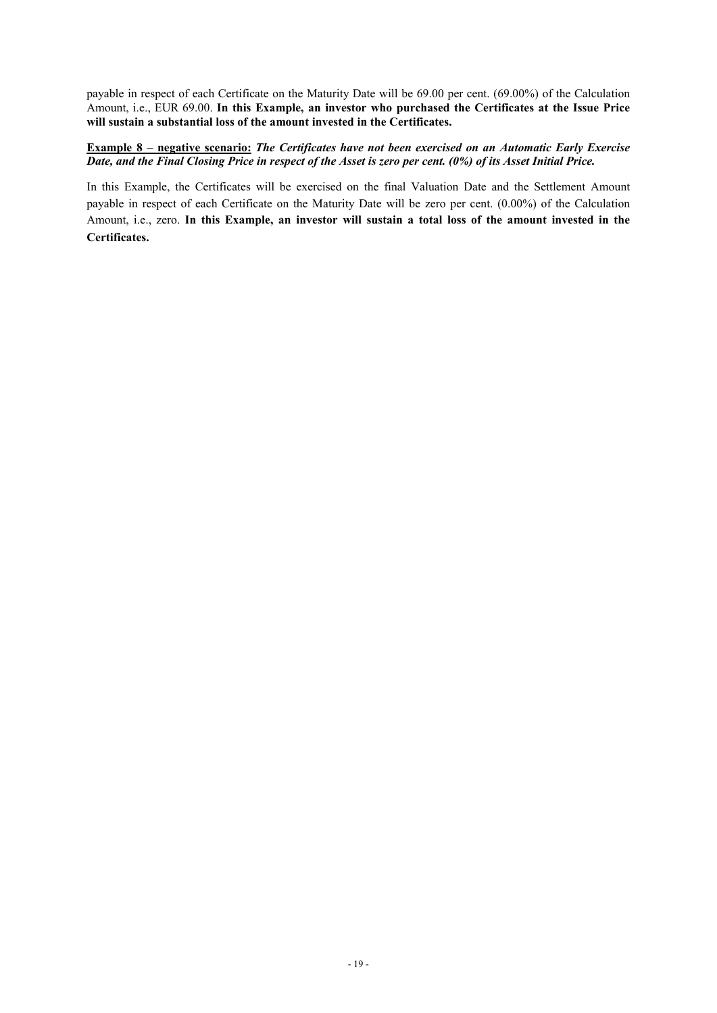payable in respect of each Certificate on the Maturity Date will be 69.00 per cent. (69.00%) of the Calculation Amount, i.e., EUR 69.00. **In this Example, an investor who purchased the Certificates at the Issue Price will sustain a substantial loss of the amount invested in the Certificates.**

## **Example 8 – negative scenario:** *The Certificates have not been exercised on an Automatic Early Exercise* Date, and the Final Closing Price in respect of the Asset is zero per cent. (0%) of its Asset Initial Price.

In this Example, the Certificates will be exercised on the final Valuation Date and the Settlement Amount payable in respect of each Certificate on the Maturity Date will be zero per cent. (0.00%) of the Calculation Amount, i.e., zero. **In this Example, an investor will sustain a total loss of the amount invested in the Certificates.**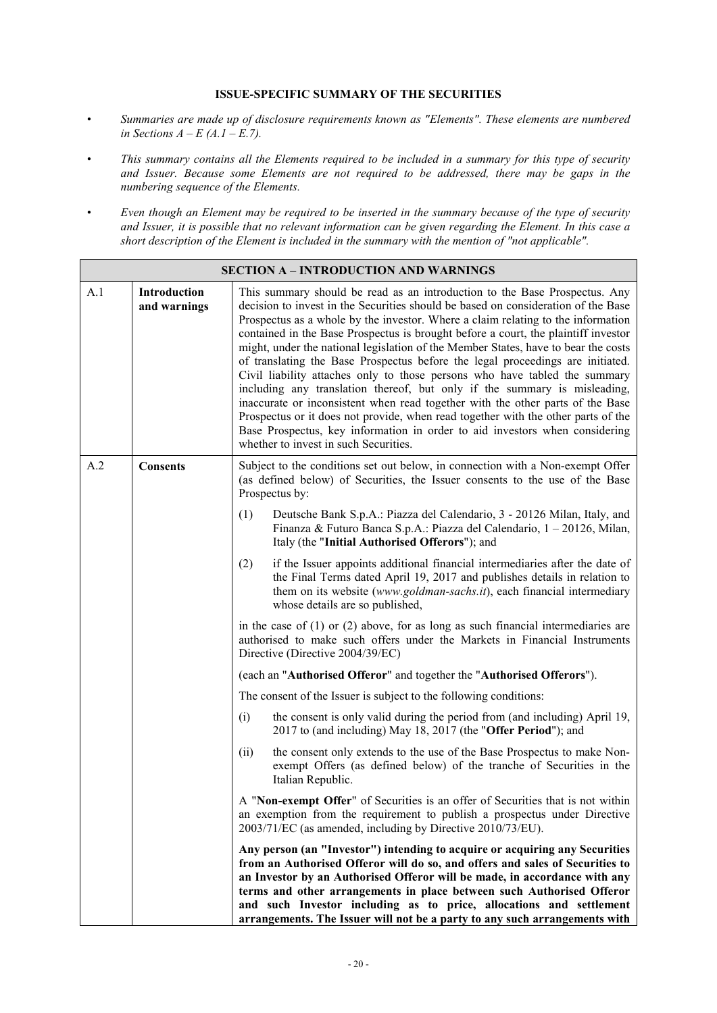## **ISSUE-SPECIFIC SUMMARY OF THE SECURITIES**

- *• Summaries are made up of disclosure requirements known as "Elements". These elements are numbered in Sections*  $A - E(A \cdot I - E \cdot 7)$ .
- This summary contains all the Elements required to be included in a summary for this type of security *and Issuer. Because some Elements are not required to be addressed, there may be gaps in the numbering sequence of the Elements.*
- Even though an Element may be required to be inserted in the summary because of the type of security and Issuer, it is possible that no relevant information can be given regarding the Element. In this case a *short description of the Element is included in the summary with the mention of "not applicable".*

|     |                                     | <b>SECTION A - INTRODUCTION AND WARNINGS</b>                                                                                                                                                                                                                                                                                                                                                                                                                                                                                                                                                                                                                                                                                                                                                                                                                                                                                                                                |  |  |
|-----|-------------------------------------|-----------------------------------------------------------------------------------------------------------------------------------------------------------------------------------------------------------------------------------------------------------------------------------------------------------------------------------------------------------------------------------------------------------------------------------------------------------------------------------------------------------------------------------------------------------------------------------------------------------------------------------------------------------------------------------------------------------------------------------------------------------------------------------------------------------------------------------------------------------------------------------------------------------------------------------------------------------------------------|--|--|
| A.1 | <b>Introduction</b><br>and warnings | This summary should be read as an introduction to the Base Prospectus. Any<br>decision to invest in the Securities should be based on consideration of the Base<br>Prospectus as a whole by the investor. Where a claim relating to the information<br>contained in the Base Prospectus is brought before a court, the plaintiff investor<br>might, under the national legislation of the Member States, have to bear the costs<br>of translating the Base Prospectus before the legal proceedings are initiated.<br>Civil liability attaches only to those persons who have tabled the summary<br>including any translation thereof, but only if the summary is misleading,<br>inaccurate or inconsistent when read together with the other parts of the Base<br>Prospectus or it does not provide, when read together with the other parts of the<br>Base Prospectus, key information in order to aid investors when considering<br>whether to invest in such Securities. |  |  |
| A.2 | <b>Consents</b>                     | Subject to the conditions set out below, in connection with a Non-exempt Offer<br>(as defined below) of Securities, the Issuer consents to the use of the Base<br>Prospectus by:                                                                                                                                                                                                                                                                                                                                                                                                                                                                                                                                                                                                                                                                                                                                                                                            |  |  |
|     |                                     | (1)<br>Deutsche Bank S.p.A.: Piazza del Calendario, 3 - 20126 Milan, Italy, and<br>Finanza & Futuro Banca S.p.A.: Piazza del Calendario, 1 – 20126, Milan,<br>Italy (the "Initial Authorised Offerors"); and                                                                                                                                                                                                                                                                                                                                                                                                                                                                                                                                                                                                                                                                                                                                                                |  |  |
|     |                                     | (2)<br>if the Issuer appoints additional financial intermediaries after the date of<br>the Final Terms dated April 19, 2017 and publishes details in relation to<br>them on its website (www.goldman-sachs.it), each financial intermediary<br>whose details are so published,                                                                                                                                                                                                                                                                                                                                                                                                                                                                                                                                                                                                                                                                                              |  |  |
|     |                                     | in the case of $(1)$ or $(2)$ above, for as long as such financial intermediaries are<br>authorised to make such offers under the Markets in Financial Instruments<br>Directive (Directive 2004/39/EC)                                                                                                                                                                                                                                                                                                                                                                                                                                                                                                                                                                                                                                                                                                                                                                      |  |  |
|     |                                     | (each an "Authorised Offeror" and together the "Authorised Offerors").                                                                                                                                                                                                                                                                                                                                                                                                                                                                                                                                                                                                                                                                                                                                                                                                                                                                                                      |  |  |
|     |                                     | The consent of the Issuer is subject to the following conditions:                                                                                                                                                                                                                                                                                                                                                                                                                                                                                                                                                                                                                                                                                                                                                                                                                                                                                                           |  |  |
|     |                                     | (i)<br>the consent is only valid during the period from (and including) April 19,<br>2017 to (and including) May 18, 2017 (the "Offer Period"); and                                                                                                                                                                                                                                                                                                                                                                                                                                                                                                                                                                                                                                                                                                                                                                                                                         |  |  |
|     |                                     | the consent only extends to the use of the Base Prospectus to make Non-<br>(ii)<br>exempt Offers (as defined below) of the tranche of Securities in the<br>Italian Republic.                                                                                                                                                                                                                                                                                                                                                                                                                                                                                                                                                                                                                                                                                                                                                                                                |  |  |
|     |                                     | A "Non-exempt Offer" of Securities is an offer of Securities that is not within<br>an exemption from the requirement to publish a prospectus under Directive<br>2003/71/EC (as amended, including by Directive 2010/73/EU).                                                                                                                                                                                                                                                                                                                                                                                                                                                                                                                                                                                                                                                                                                                                                 |  |  |
|     |                                     | Any person (an "Investor") intending to acquire or acquiring any Securities<br>from an Authorised Offeror will do so, and offers and sales of Securities to<br>an Investor by an Authorised Offeror will be made, in accordance with any<br>terms and other arrangements in place between such Authorised Offeror<br>and such Investor including as to price, allocations and settlement<br>arrangements. The Issuer will not be a party to any such arrangements with                                                                                                                                                                                                                                                                                                                                                                                                                                                                                                      |  |  |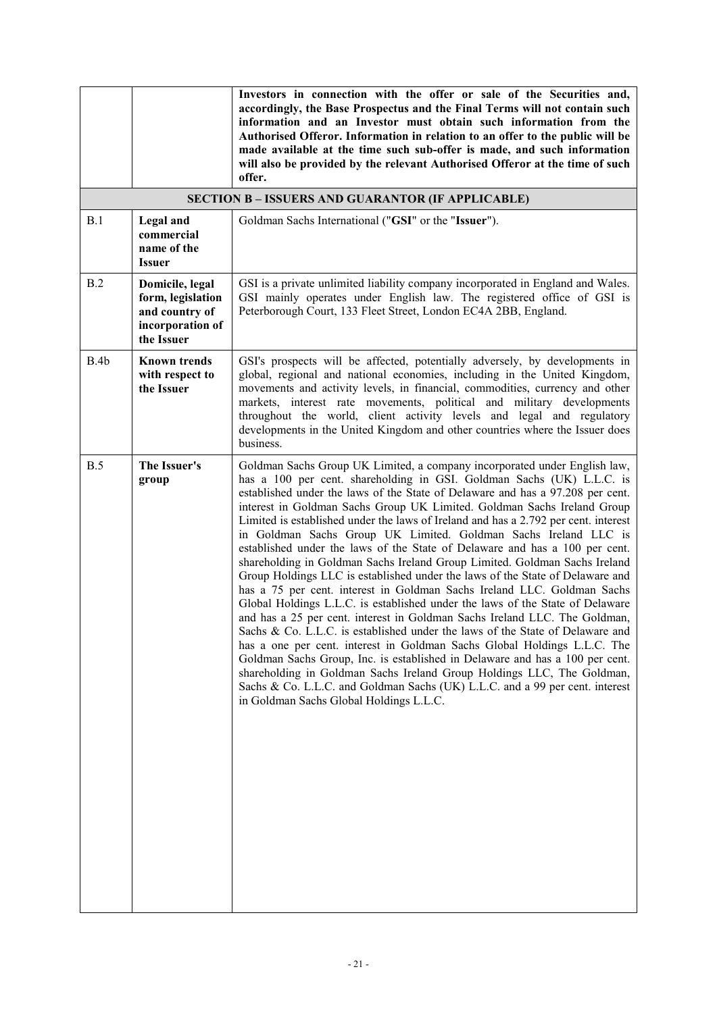|      |                                                                                          | Investors in connection with the offer or sale of the Securities and,<br>accordingly, the Base Prospectus and the Final Terms will not contain such<br>information and an Investor must obtain such information from the<br>Authorised Offeror. Information in relation to an offer to the public will be<br>made available at the time such sub-offer is made, and such information<br>will also be provided by the relevant Authorised Offeror at the time of such<br>offer.                                                                                                                                                                                                                                                                                                                                                                                                                                                                                                                                                                                                                                                                                                                                                                                                                                                                                                                                      |
|------|------------------------------------------------------------------------------------------|---------------------------------------------------------------------------------------------------------------------------------------------------------------------------------------------------------------------------------------------------------------------------------------------------------------------------------------------------------------------------------------------------------------------------------------------------------------------------------------------------------------------------------------------------------------------------------------------------------------------------------------------------------------------------------------------------------------------------------------------------------------------------------------------------------------------------------------------------------------------------------------------------------------------------------------------------------------------------------------------------------------------------------------------------------------------------------------------------------------------------------------------------------------------------------------------------------------------------------------------------------------------------------------------------------------------------------------------------------------------------------------------------------------------|
|      |                                                                                          | <b>SECTION B - ISSUERS AND GUARANTOR (IF APPLICABLE)</b>                                                                                                                                                                                                                                                                                                                                                                                                                                                                                                                                                                                                                                                                                                                                                                                                                                                                                                                                                                                                                                                                                                                                                                                                                                                                                                                                                            |
| B.1  | <b>Legal</b> and<br>commercial<br>name of the<br><b>Issuer</b>                           | Goldman Sachs International ("GSI" or the "Issuer").                                                                                                                                                                                                                                                                                                                                                                                                                                                                                                                                                                                                                                                                                                                                                                                                                                                                                                                                                                                                                                                                                                                                                                                                                                                                                                                                                                |
| B.2  | Domicile, legal<br>form, legislation<br>and country of<br>incorporation of<br>the Issuer | GSI is a private unlimited liability company incorporated in England and Wales.<br>GSI mainly operates under English law. The registered office of GSI is<br>Peterborough Court, 133 Fleet Street, London EC4A 2BB, England.                                                                                                                                                                                                                                                                                                                                                                                                                                                                                                                                                                                                                                                                                                                                                                                                                                                                                                                                                                                                                                                                                                                                                                                        |
| B.4b | <b>Known trends</b><br>with respect to<br>the Issuer                                     | GSI's prospects will be affected, potentially adversely, by developments in<br>global, regional and national economies, including in the United Kingdom,<br>movements and activity levels, in financial, commodities, currency and other<br>markets, interest rate movements, political and military developments<br>throughout the world, client activity levels and legal and regulatory<br>developments in the United Kingdom and other countries where the Issuer does<br>business.                                                                                                                                                                                                                                                                                                                                                                                                                                                                                                                                                                                                                                                                                                                                                                                                                                                                                                                             |
| B.5  | The Issuer's<br>group                                                                    | Goldman Sachs Group UK Limited, a company incorporated under English law,<br>has a 100 per cent. shareholding in GSI. Goldman Sachs (UK) L.L.C. is<br>established under the laws of the State of Delaware and has a 97.208 per cent.<br>interest in Goldman Sachs Group UK Limited. Goldman Sachs Ireland Group<br>Limited is established under the laws of Ireland and has a 2.792 per cent. interest<br>in Goldman Sachs Group UK Limited. Goldman Sachs Ireland LLC is<br>established under the laws of the State of Delaware and has a 100 per cent.<br>shareholding in Goldman Sachs Ireland Group Limited. Goldman Sachs Ireland<br>Group Holdings LLC is established under the laws of the State of Delaware and<br>has a 75 per cent. interest in Goldman Sachs Ireland LLC. Goldman Sachs<br>Global Holdings L.L.C. is established under the laws of the State of Delaware<br>and has a 25 per cent. interest in Goldman Sachs Ireland LLC. The Goldman,<br>Sachs & Co. L.L.C. is established under the laws of the State of Delaware and<br>has a one per cent. interest in Goldman Sachs Global Holdings L.L.C. The<br>Goldman Sachs Group, Inc. is established in Delaware and has a 100 per cent.<br>shareholding in Goldman Sachs Ireland Group Holdings LLC, The Goldman,<br>Sachs & Co. L.L.C. and Goldman Sachs (UK) L.L.C. and a 99 per cent. interest<br>in Goldman Sachs Global Holdings L.L.C. |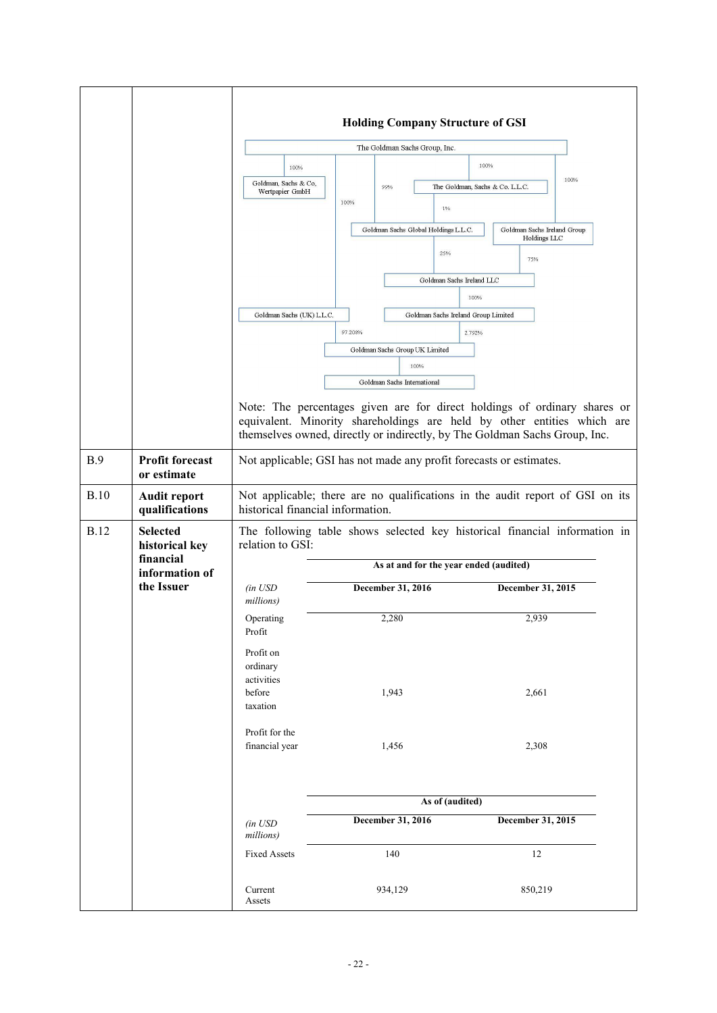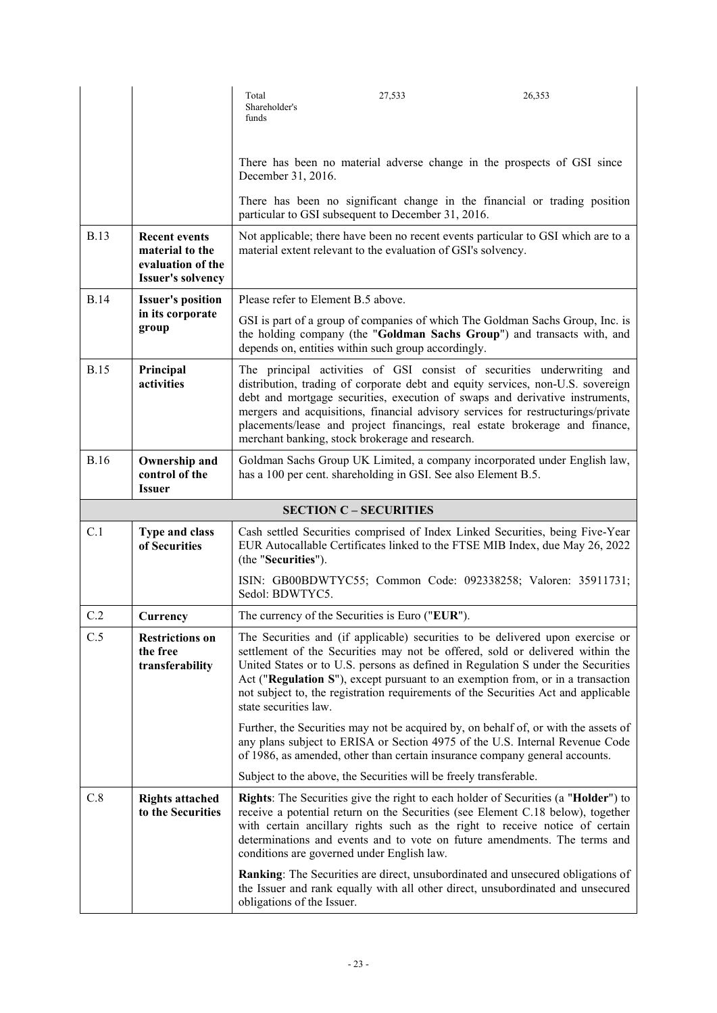|             |                                                                                          | Total<br>Shareholder's<br>funds    | 27,533                                                            | 26,353                                                                                                                                                                                                                                                                                                                                                                                                                       |
|-------------|------------------------------------------------------------------------------------------|------------------------------------|-------------------------------------------------------------------|------------------------------------------------------------------------------------------------------------------------------------------------------------------------------------------------------------------------------------------------------------------------------------------------------------------------------------------------------------------------------------------------------------------------------|
|             |                                                                                          | December 31, 2016.                 |                                                                   | There has been no material adverse change in the prospects of GSI since                                                                                                                                                                                                                                                                                                                                                      |
|             |                                                                                          |                                    | particular to GSI subsequent to December 31, 2016.                | There has been no significant change in the financial or trading position                                                                                                                                                                                                                                                                                                                                                    |
| <b>B.13</b> | <b>Recent events</b><br>material to the<br>evaluation of the<br><b>Issuer's solvency</b> |                                    | material extent relevant to the evaluation of GSI's solvency.     | Not applicable; there have been no recent events particular to GSI which are to a                                                                                                                                                                                                                                                                                                                                            |
| <b>B.14</b> | <b>Issuer's position</b>                                                                 | Please refer to Element B.5 above. |                                                                   |                                                                                                                                                                                                                                                                                                                                                                                                                              |
|             | in its corporate<br>group                                                                |                                    | depends on, entities within such group accordingly.               | GSI is part of a group of companies of which The Goldman Sachs Group, Inc. is<br>the holding company (the "Goldman Sachs Group") and transacts with, and                                                                                                                                                                                                                                                                     |
| <b>B.15</b> | Principal<br>activities                                                                  |                                    | merchant banking, stock brokerage and research.                   | The principal activities of GSI consist of securities underwriting and<br>distribution, trading of corporate debt and equity services, non-U.S. sovereign<br>debt and mortgage securities, execution of swaps and derivative instruments,<br>mergers and acquisitions, financial advisory services for restructurings/private<br>placements/lease and project financings, real estate brokerage and finance,                 |
| <b>B.16</b> | Ownership and<br>control of the<br><b>Issuer</b>                                         |                                    | has a 100 per cent. shareholding in GSI. See also Element B.5.    | Goldman Sachs Group UK Limited, a company incorporated under English law,                                                                                                                                                                                                                                                                                                                                                    |
|             |                                                                                          |                                    |                                                                   |                                                                                                                                                                                                                                                                                                                                                                                                                              |
|             |                                                                                          |                                    | <b>SECTION C - SECURITIES</b>                                     |                                                                                                                                                                                                                                                                                                                                                                                                                              |
| C.1         | Type and class<br>of Securities                                                          | (the "Securities").                |                                                                   | Cash settled Securities comprised of Index Linked Securities, being Five-Year<br>EUR Autocallable Certificates linked to the FTSE MIB Index, due May 26, 2022                                                                                                                                                                                                                                                                |
|             |                                                                                          | Sedol: BDWTYC5.                    |                                                                   | ISIN: GB00BDWTYC55; Common Code: 092338258; Valoren: 35911731;                                                                                                                                                                                                                                                                                                                                                               |
| C.2         | Currency                                                                                 |                                    | The currency of the Securities is Euro ("EUR").                   |                                                                                                                                                                                                                                                                                                                                                                                                                              |
| C.5         | <b>Restrictions on</b><br>the free<br>transferability                                    | state securities law.              |                                                                   | The Securities and (if applicable) securities to be delivered upon exercise or<br>settlement of the Securities may not be offered, sold or delivered within the<br>United States or to U.S. persons as defined in Regulation S under the Securities<br>Act ("Regulation S"), except pursuant to an exemption from, or in a transaction<br>not subject to, the registration requirements of the Securities Act and applicable |
|             |                                                                                          |                                    |                                                                   | Further, the Securities may not be acquired by, on behalf of, or with the assets of<br>any plans subject to ERISA or Section 4975 of the U.S. Internal Revenue Code<br>of 1986, as amended, other than certain insurance company general accounts.                                                                                                                                                                           |
|             |                                                                                          |                                    | Subject to the above, the Securities will be freely transferable. |                                                                                                                                                                                                                                                                                                                                                                                                                              |
| C.8         | <b>Rights attached</b><br>to the Securities                                              |                                    | conditions are governed under English law.                        | Rights: The Securities give the right to each holder of Securities (a "Holder") to<br>receive a potential return on the Securities (see Element C.18 below), together<br>with certain ancillary rights such as the right to receive notice of certain<br>determinations and events and to vote on future amendments. The terms and                                                                                           |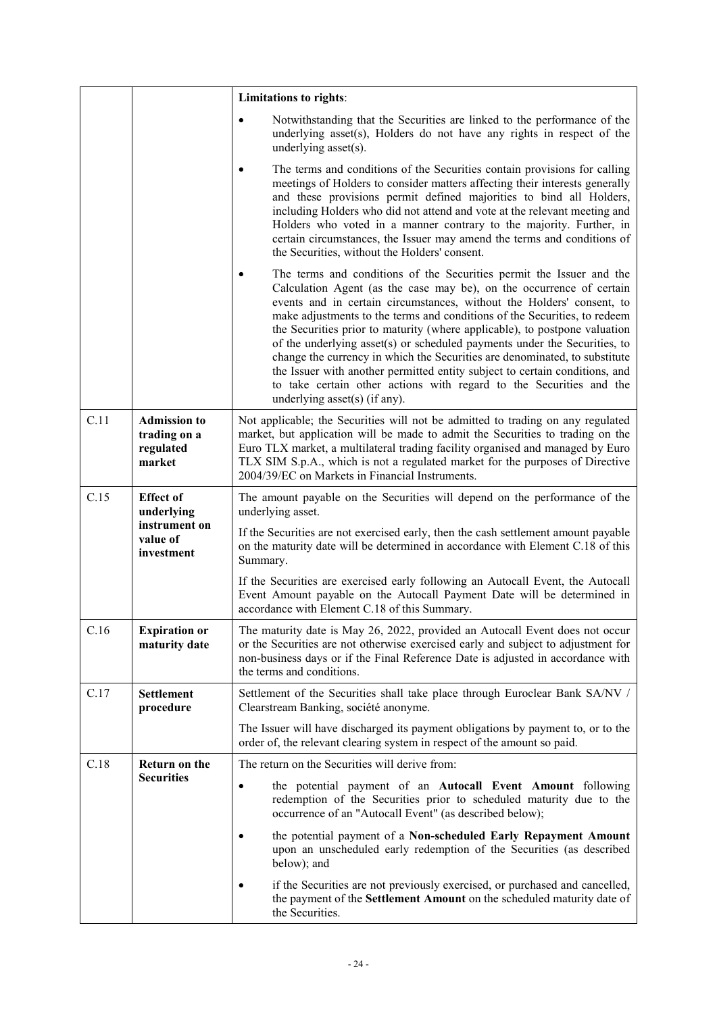|                                         |                                                            | Limitations to rights:                                                                                                                                                                                                                                                                                                                                                                                                                                                                                                                                                                                                                                                                                                             |  |  |
|-----------------------------------------|------------------------------------------------------------|------------------------------------------------------------------------------------------------------------------------------------------------------------------------------------------------------------------------------------------------------------------------------------------------------------------------------------------------------------------------------------------------------------------------------------------------------------------------------------------------------------------------------------------------------------------------------------------------------------------------------------------------------------------------------------------------------------------------------------|--|--|
|                                         |                                                            | Notwithstanding that the Securities are linked to the performance of the<br>underlying asset(s), Holders do not have any rights in respect of the<br>underlying asset(s).                                                                                                                                                                                                                                                                                                                                                                                                                                                                                                                                                          |  |  |
|                                         |                                                            | The terms and conditions of the Securities contain provisions for calling<br>meetings of Holders to consider matters affecting their interests generally<br>and these provisions permit defined majorities to bind all Holders,<br>including Holders who did not attend and vote at the relevant meeting and<br>Holders who voted in a manner contrary to the majority. Further, in<br>certain circumstances, the Issuer may amend the terms and conditions of<br>the Securities, without the Holders' consent.                                                                                                                                                                                                                    |  |  |
|                                         |                                                            | The terms and conditions of the Securities permit the Issuer and the<br>Calculation Agent (as the case may be), on the occurrence of certain<br>events and in certain circumstances, without the Holders' consent, to<br>make adjustments to the terms and conditions of the Securities, to redeem<br>the Securities prior to maturity (where applicable), to postpone valuation<br>of the underlying asset(s) or scheduled payments under the Securities, to<br>change the currency in which the Securities are denominated, to substitute<br>the Issuer with another permitted entity subject to certain conditions, and<br>to take certain other actions with regard to the Securities and the<br>underlying asset(s) (if any). |  |  |
| C.11                                    | <b>Admission</b> to<br>trading on a<br>regulated<br>market | Not applicable; the Securities will not be admitted to trading on any regulated<br>market, but application will be made to admit the Securities to trading on the<br>Euro TLX market, a multilateral trading facility organised and managed by Euro<br>TLX SIM S.p.A., which is not a regulated market for the purposes of Directive<br>2004/39/EC on Markets in Financial Instruments.                                                                                                                                                                                                                                                                                                                                            |  |  |
| C.15                                    | <b>Effect</b> of<br>underlying                             | The amount payable on the Securities will depend on the performance of the<br>underlying asset.                                                                                                                                                                                                                                                                                                                                                                                                                                                                                                                                                                                                                                    |  |  |
| instrument on<br>value of<br>investment |                                                            | If the Securities are not exercised early, then the cash settlement amount payable<br>on the maturity date will be determined in accordance with Element C.18 of this<br>Summary.                                                                                                                                                                                                                                                                                                                                                                                                                                                                                                                                                  |  |  |
|                                         |                                                            | If the Securities are exercised early following an Autocall Event, the Autocall<br>Event Amount payable on the Autocall Payment Date will be determined in<br>accordance with Element C.18 of this Summary.                                                                                                                                                                                                                                                                                                                                                                                                                                                                                                                        |  |  |
| C.16                                    | <b>Expiration or</b><br>maturity date                      | The maturity date is May 26, 2022, provided an Autocall Event does not occur<br>or the Securities are not otherwise exercised early and subject to adjustment for<br>non-business days or if the Final Reference Date is adjusted in accordance with<br>the terms and conditions.                                                                                                                                                                                                                                                                                                                                                                                                                                                  |  |  |
| C.17                                    | <b>Settlement</b><br>procedure                             | Settlement of the Securities shall take place through Euroclear Bank SA/NV /<br>Clearstream Banking, société anonyme.                                                                                                                                                                                                                                                                                                                                                                                                                                                                                                                                                                                                              |  |  |
|                                         |                                                            | The Issuer will have discharged its payment obligations by payment to, or to the<br>order of, the relevant clearing system in respect of the amount so paid.                                                                                                                                                                                                                                                                                                                                                                                                                                                                                                                                                                       |  |  |
| C.18                                    | Return on the                                              | The return on the Securities will derive from:                                                                                                                                                                                                                                                                                                                                                                                                                                                                                                                                                                                                                                                                                     |  |  |
|                                         | <b>Securities</b>                                          | the potential payment of an Autocall Event Amount following<br>$\bullet$<br>redemption of the Securities prior to scheduled maturity due to the<br>occurrence of an "Autocall Event" (as described below);                                                                                                                                                                                                                                                                                                                                                                                                                                                                                                                         |  |  |
|                                         |                                                            | the potential payment of a Non-scheduled Early Repayment Amount<br>upon an unscheduled early redemption of the Securities (as described<br>below); and                                                                                                                                                                                                                                                                                                                                                                                                                                                                                                                                                                             |  |  |
|                                         |                                                            | if the Securities are not previously exercised, or purchased and cancelled,<br>the payment of the Settlement Amount on the scheduled maturity date of<br>the Securities.                                                                                                                                                                                                                                                                                                                                                                                                                                                                                                                                                           |  |  |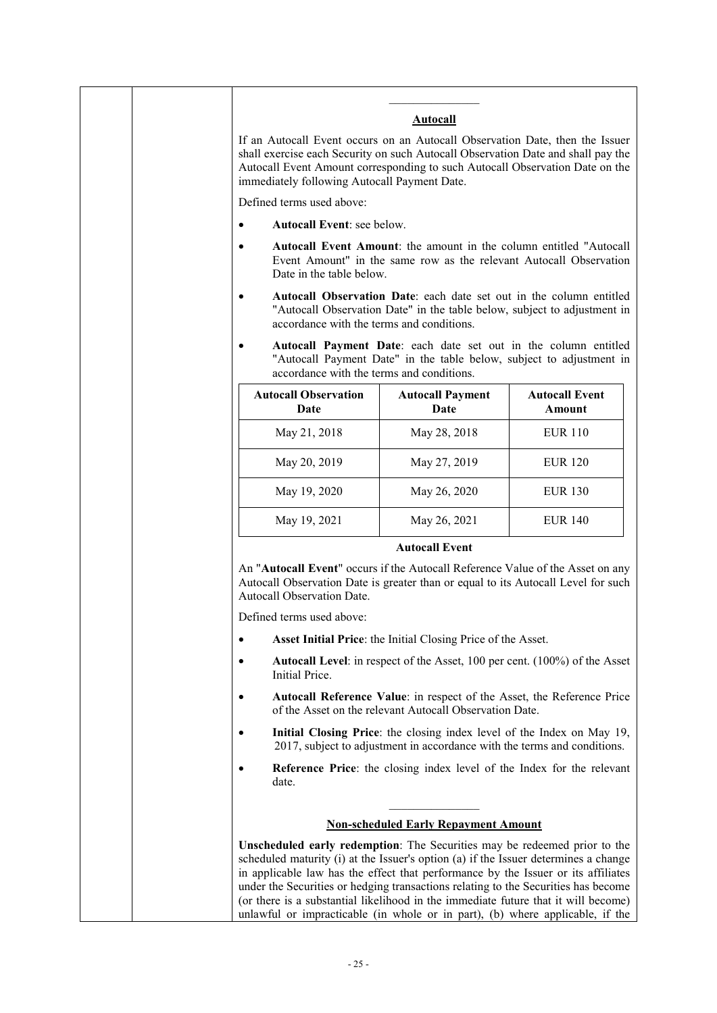|                                              | <b>Autocall</b>                                                                                                                                                                                                                                                                                                                                                                                                                                                                                                    |                                        |
|----------------------------------------------|--------------------------------------------------------------------------------------------------------------------------------------------------------------------------------------------------------------------------------------------------------------------------------------------------------------------------------------------------------------------------------------------------------------------------------------------------------------------------------------------------------------------|----------------------------------------|
| immediately following Autocall Payment Date. | If an Autocall Event occurs on an Autocall Observation Date, then the Issuer<br>shall exercise each Security on such Autocall Observation Date and shall pay the<br>Autocall Event Amount corresponding to such Autocall Observation Date on the                                                                                                                                                                                                                                                                   |                                        |
| Defined terms used above:                    |                                                                                                                                                                                                                                                                                                                                                                                                                                                                                                                    |                                        |
| Autocall Event: see below.<br>$\bullet$      |                                                                                                                                                                                                                                                                                                                                                                                                                                                                                                                    |                                        |
| $\bullet$<br>Date in the table below.        | <b>Autocall Event Amount:</b> the amount in the column entitled "Autocall"<br>Event Amount" in the same row as the relevant Autocall Observation                                                                                                                                                                                                                                                                                                                                                                   |                                        |
| $\bullet$                                    | Autocall Observation Date: each date set out in the column entitled<br>"Autocall Observation Date" in the table below, subject to adjustment in<br>accordance with the terms and conditions.                                                                                                                                                                                                                                                                                                                       |                                        |
|                                              | Autocall Payment Date: each date set out in the column entitled<br>"Autocall Payment Date" in the table below, subject to adjustment in<br>accordance with the terms and conditions.                                                                                                                                                                                                                                                                                                                               |                                        |
| <b>Autocall Observation</b><br>Date          | <b>Autocall Payment</b><br>Date                                                                                                                                                                                                                                                                                                                                                                                                                                                                                    | <b>Autocall Event</b><br><b>Amount</b> |
| May 21, 2018                                 | May 28, 2018                                                                                                                                                                                                                                                                                                                                                                                                                                                                                                       | <b>EUR 110</b>                         |
| May 20, 2019                                 | May 27, 2019                                                                                                                                                                                                                                                                                                                                                                                                                                                                                                       | <b>EUR 120</b>                         |
| May 19, 2020                                 | May 26, 2020                                                                                                                                                                                                                                                                                                                                                                                                                                                                                                       | <b>EUR 130</b>                         |
| May 19, 2021                                 | May 26, 2021                                                                                                                                                                                                                                                                                                                                                                                                                                                                                                       | <b>EUR 140</b>                         |
|                                              | <b>Autocall Event</b>                                                                                                                                                                                                                                                                                                                                                                                                                                                                                              |                                        |
| Autocall Observation Date.                   | An "Autocall Event" occurs if the Autocall Reference Value of the Asset on any<br>Autocall Observation Date is greater than or equal to its Autocall Level for such                                                                                                                                                                                                                                                                                                                                                |                                        |
| Defined terms used above:                    |                                                                                                                                                                                                                                                                                                                                                                                                                                                                                                                    |                                        |
| $\bullet$                                    | Asset Initial Price: the Initial Closing Price of the Asset.                                                                                                                                                                                                                                                                                                                                                                                                                                                       |                                        |
| ٠<br>Initial Price.                          | <b>Autocall Level:</b> in respect of the Asset, 100 per cent. (100%) of the Asset                                                                                                                                                                                                                                                                                                                                                                                                                                  |                                        |
| $\bullet$                                    | Autocall Reference Value: in respect of the Asset, the Reference Price<br>of the Asset on the relevant Autocall Observation Date.                                                                                                                                                                                                                                                                                                                                                                                  |                                        |
| $\bullet$                                    | Initial Closing Price: the closing index level of the Index on May 19,<br>2017, subject to adjustment in accordance with the terms and conditions.                                                                                                                                                                                                                                                                                                                                                                 |                                        |
| $\bullet$<br>date.                           | Reference Price: the closing index level of the Index for the relevant                                                                                                                                                                                                                                                                                                                                                                                                                                             |                                        |
|                                              | <b>Non-scheduled Early Repayment Amount</b>                                                                                                                                                                                                                                                                                                                                                                                                                                                                        |                                        |
|                                              | Unscheduled early redemption: The Securities may be redeemed prior to the<br>scheduled maturity (i) at the Issuer's option (a) if the Issuer determines a change<br>in applicable law has the effect that performance by the Issuer or its affiliates<br>under the Securities or hedging transactions relating to the Securities has become<br>(or there is a substantial likelihood in the immediate future that it will become)<br>unlawful or impracticable (in whole or in part), (b) where applicable, if the |                                        |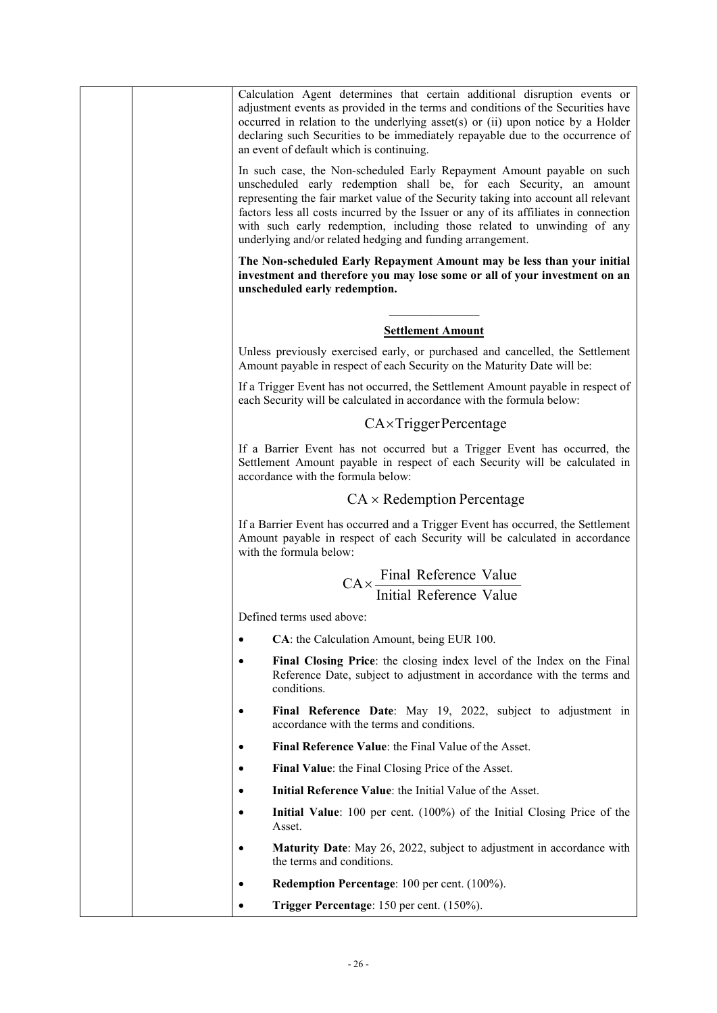|  |           | Calculation Agent determines that certain additional disruption events or<br>adjustment events as provided in the terms and conditions of the Securities have<br>occurred in relation to the underlying asset(s) or (ii) upon notice by a Holder<br>declaring such Securities to be immediately repayable due to the occurrence of<br>an event of default which is continuing.<br>In such case, the Non-scheduled Early Repayment Amount payable on such<br>unscheduled early redemption shall be, for each Security, an amount<br>representing the fair market value of the Security taking into account all relevant<br>factors less all costs incurred by the Issuer or any of its affiliates in connection<br>with such early redemption, including those related to unwinding of any<br>underlying and/or related hedging and funding arrangement. |
|--|-----------|---------------------------------------------------------------------------------------------------------------------------------------------------------------------------------------------------------------------------------------------------------------------------------------------------------------------------------------------------------------------------------------------------------------------------------------------------------------------------------------------------------------------------------------------------------------------------------------------------------------------------------------------------------------------------------------------------------------------------------------------------------------------------------------------------------------------------------------------------------|
|  |           | The Non-scheduled Early Repayment Amount may be less than your initial<br>investment and therefore you may lose some or all of your investment on an<br>unscheduled early redemption.                                                                                                                                                                                                                                                                                                                                                                                                                                                                                                                                                                                                                                                                   |
|  |           |                                                                                                                                                                                                                                                                                                                                                                                                                                                                                                                                                                                                                                                                                                                                                                                                                                                         |
|  |           | <b>Settlement Amount</b>                                                                                                                                                                                                                                                                                                                                                                                                                                                                                                                                                                                                                                                                                                                                                                                                                                |
|  |           | Unless previously exercised early, or purchased and cancelled, the Settlement<br>Amount payable in respect of each Security on the Maturity Date will be:                                                                                                                                                                                                                                                                                                                                                                                                                                                                                                                                                                                                                                                                                               |
|  |           | If a Trigger Event has not occurred, the Settlement Amount payable in respect of<br>each Security will be calculated in accordance with the formula below:                                                                                                                                                                                                                                                                                                                                                                                                                                                                                                                                                                                                                                                                                              |
|  |           | $CA \times Trigger Percentage$                                                                                                                                                                                                                                                                                                                                                                                                                                                                                                                                                                                                                                                                                                                                                                                                                          |
|  |           | If a Barrier Event has not occurred but a Trigger Event has occurred, the<br>Settlement Amount payable in respect of each Security will be calculated in<br>accordance with the formula below:                                                                                                                                                                                                                                                                                                                                                                                                                                                                                                                                                                                                                                                          |
|  |           | $CA \times Redemption Percentage$                                                                                                                                                                                                                                                                                                                                                                                                                                                                                                                                                                                                                                                                                                                                                                                                                       |
|  |           | If a Barrier Event has occurred and a Trigger Event has occurred, the Settlement<br>Amount payable in respect of each Security will be calculated in accordance<br>with the formula below:                                                                                                                                                                                                                                                                                                                                                                                                                                                                                                                                                                                                                                                              |
|  |           |                                                                                                                                                                                                                                                                                                                                                                                                                                                                                                                                                                                                                                                                                                                                                                                                                                                         |
|  |           | $CA \times \frac{Final$ Reference Value<br>Initial Reference Value                                                                                                                                                                                                                                                                                                                                                                                                                                                                                                                                                                                                                                                                                                                                                                                      |
|  |           | Defined terms used above:                                                                                                                                                                                                                                                                                                                                                                                                                                                                                                                                                                                                                                                                                                                                                                                                                               |
|  | $\bullet$ | CA: the Calculation Amount, being EUR 100.                                                                                                                                                                                                                                                                                                                                                                                                                                                                                                                                                                                                                                                                                                                                                                                                              |
|  | ٠         | Final Closing Price: the closing index level of the Index on the Final<br>Reference Date, subject to adjustment in accordance with the terms and<br>conditions.                                                                                                                                                                                                                                                                                                                                                                                                                                                                                                                                                                                                                                                                                         |
|  | $\bullet$ | Final Reference Date: May 19, 2022, subject to adjustment in<br>accordance with the terms and conditions.                                                                                                                                                                                                                                                                                                                                                                                                                                                                                                                                                                                                                                                                                                                                               |
|  | $\bullet$ | Final Reference Value: the Final Value of the Asset.                                                                                                                                                                                                                                                                                                                                                                                                                                                                                                                                                                                                                                                                                                                                                                                                    |
|  | $\bullet$ | Final Value: the Final Closing Price of the Asset.                                                                                                                                                                                                                                                                                                                                                                                                                                                                                                                                                                                                                                                                                                                                                                                                      |
|  | $\bullet$ | Initial Reference Value: the Initial Value of the Asset.                                                                                                                                                                                                                                                                                                                                                                                                                                                                                                                                                                                                                                                                                                                                                                                                |
|  | $\bullet$ | Initial Value: 100 per cent. (100%) of the Initial Closing Price of the<br>Asset.                                                                                                                                                                                                                                                                                                                                                                                                                                                                                                                                                                                                                                                                                                                                                                       |
|  | $\bullet$ | <b>Maturity Date:</b> May 26, 2022, subject to adjustment in accordance with<br>the terms and conditions.                                                                                                                                                                                                                                                                                                                                                                                                                                                                                                                                                                                                                                                                                                                                               |
|  | $\bullet$ | Redemption Percentage: 100 per cent. (100%).                                                                                                                                                                                                                                                                                                                                                                                                                                                                                                                                                                                                                                                                                                                                                                                                            |
|  | $\bullet$ | Trigger Percentage: 150 per cent. (150%).                                                                                                                                                                                                                                                                                                                                                                                                                                                                                                                                                                                                                                                                                                                                                                                                               |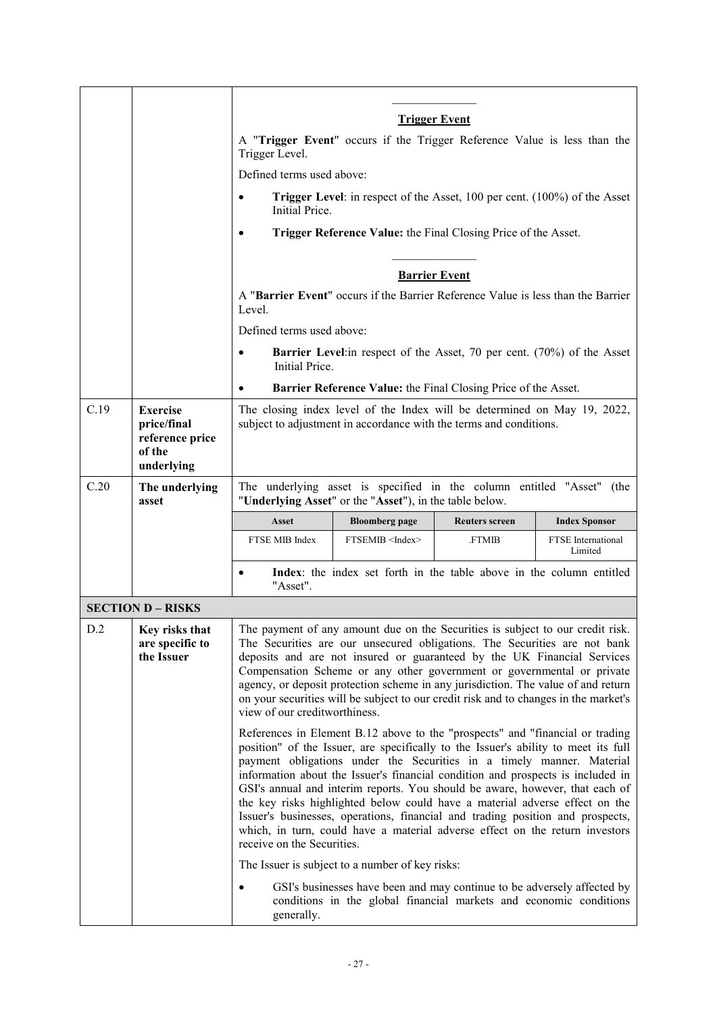|      |                                                             | <b>Trigger Event</b>                                                                                                                                                                                                                                                                                                                                                                                                                                                                                                                                                                                                                                                                           |                                                                                                                                                |                       |                                      |
|------|-------------------------------------------------------------|------------------------------------------------------------------------------------------------------------------------------------------------------------------------------------------------------------------------------------------------------------------------------------------------------------------------------------------------------------------------------------------------------------------------------------------------------------------------------------------------------------------------------------------------------------------------------------------------------------------------------------------------------------------------------------------------|------------------------------------------------------------------------------------------------------------------------------------------------|-----------------------|--------------------------------------|
|      |                                                             | A "Trigger Event" occurs if the Trigger Reference Value is less than the<br>Trigger Level.                                                                                                                                                                                                                                                                                                                                                                                                                                                                                                                                                                                                     |                                                                                                                                                |                       |                                      |
|      |                                                             | Defined terms used above:                                                                                                                                                                                                                                                                                                                                                                                                                                                                                                                                                                                                                                                                      |                                                                                                                                                |                       |                                      |
|      |                                                             | ٠<br>Initial Price.                                                                                                                                                                                                                                                                                                                                                                                                                                                                                                                                                                                                                                                                            | <b>Trigger Level:</b> in respect of the Asset, 100 per cent. (100%) of the Asset                                                               |                       |                                      |
|      |                                                             |                                                                                                                                                                                                                                                                                                                                                                                                                                                                                                                                                                                                                                                                                                | Trigger Reference Value: the Final Closing Price of the Asset.                                                                                 |                       |                                      |
|      |                                                             |                                                                                                                                                                                                                                                                                                                                                                                                                                                                                                                                                                                                                                                                                                |                                                                                                                                                | <b>Barrier Event</b>  |                                      |
|      |                                                             | Level.                                                                                                                                                                                                                                                                                                                                                                                                                                                                                                                                                                                                                                                                                         | A "Barrier Event" occurs if the Barrier Reference Value is less than the Barrier                                                               |                       |                                      |
|      |                                                             | Defined terms used above:                                                                                                                                                                                                                                                                                                                                                                                                                                                                                                                                                                                                                                                                      |                                                                                                                                                |                       |                                      |
|      |                                                             | Initial Price.                                                                                                                                                                                                                                                                                                                                                                                                                                                                                                                                                                                                                                                                                 | <b>Barrier Level</b> : in respect of the Asset, 70 per cent. (70%) of the Asset                                                                |                       |                                      |
|      |                                                             |                                                                                                                                                                                                                                                                                                                                                                                                                                                                                                                                                                                                                                                                                                | Barrier Reference Value: the Final Closing Price of the Asset.                                                                                 |                       |                                      |
| C.19 | <b>Exercise</b><br>price/final<br>reference price<br>of the |                                                                                                                                                                                                                                                                                                                                                                                                                                                                                                                                                                                                                                                                                                | The closing index level of the Index will be determined on May 19, 2022,<br>subject to adjustment in accordance with the terms and conditions. |                       |                                      |
|      | underlying                                                  |                                                                                                                                                                                                                                                                                                                                                                                                                                                                                                                                                                                                                                                                                                |                                                                                                                                                |                       |                                      |
| C.20 | The underlying<br>asset                                     |                                                                                                                                                                                                                                                                                                                                                                                                                                                                                                                                                                                                                                                                                                | The underlying asset is specified in the column entitled "Asset" (the<br>"Underlying Asset" or the "Asset"), in the table below.               |                       |                                      |
|      |                                                             | <b>Asset</b>                                                                                                                                                                                                                                                                                                                                                                                                                                                                                                                                                                                                                                                                                   | <b>Bloomberg page</b>                                                                                                                          | <b>Reuters screen</b> | <b>Index Sponsor</b>                 |
|      |                                                             | FTSE MIB Index                                                                                                                                                                                                                                                                                                                                                                                                                                                                                                                                                                                                                                                                                 | FTSEMIB <index></index>                                                                                                                        | <b>FTMIB</b>          | <b>FTSE</b> International<br>Limited |
|      |                                                             | $\bullet$<br>"Asset".                                                                                                                                                                                                                                                                                                                                                                                                                                                                                                                                                                                                                                                                          | Index: the index set forth in the table above in the column entitled                                                                           |                       |                                      |
|      | <b>SECTION D - RISKS</b>                                    |                                                                                                                                                                                                                                                                                                                                                                                                                                                                                                                                                                                                                                                                                                |                                                                                                                                                |                       |                                      |
| D.2  | Key risks that<br>are specific to<br>the Issuer             | The payment of any amount due on the Securities is subject to our credit risk.<br>The Securities are our unsecured obligations. The Securities are not bank<br>deposits and are not insured or guaranteed by the UK Financial Services<br>Compensation Scheme or any other government or governmental or private<br>agency, or deposit protection scheme in any jurisdiction. The value of and return<br>on your securities will be subject to our credit risk and to changes in the market's<br>view of our creditworthiness.                                                                                                                                                                 |                                                                                                                                                |                       |                                      |
|      |                                                             | References in Element B.12 above to the "prospects" and "financial or trading<br>position" of the Issuer, are specifically to the Issuer's ability to meet its full<br>payment obligations under the Securities in a timely manner. Material<br>information about the Issuer's financial condition and prospects is included in<br>GSI's annual and interim reports. You should be aware, however, that each of<br>the key risks highlighted below could have a material adverse effect on the<br>Issuer's businesses, operations, financial and trading position and prospects,<br>which, in turn, could have a material adverse effect on the return investors<br>receive on the Securities. |                                                                                                                                                |                       |                                      |
|      |                                                             |                                                                                                                                                                                                                                                                                                                                                                                                                                                                                                                                                                                                                                                                                                | The Issuer is subject to a number of key risks:                                                                                                |                       |                                      |
|      |                                                             | $\bullet$<br>generally.                                                                                                                                                                                                                                                                                                                                                                                                                                                                                                                                                                                                                                                                        | GSI's businesses have been and may continue to be adversely affected by<br>conditions in the global financial markets and economic conditions  |                       |                                      |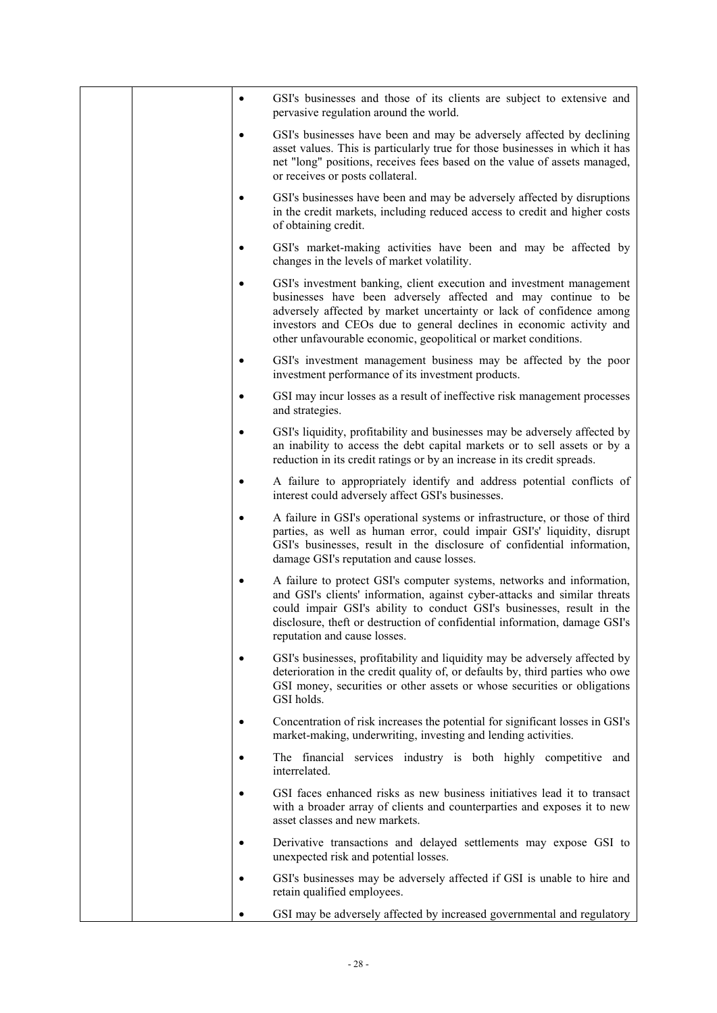|  | $\bullet$ | GSI's businesses and those of its clients are subject to extensive and<br>pervasive regulation around the world.                                                                                                                                                                                                                                         |
|--|-----------|----------------------------------------------------------------------------------------------------------------------------------------------------------------------------------------------------------------------------------------------------------------------------------------------------------------------------------------------------------|
|  | ٠         | GSI's businesses have been and may be adversely affected by declining<br>asset values. This is particularly true for those businesses in which it has<br>net "long" positions, receives fees based on the value of assets managed,<br>or receives or posts collateral.                                                                                   |
|  | ٠         | GSI's businesses have been and may be adversely affected by disruptions<br>in the credit markets, including reduced access to credit and higher costs<br>of obtaining credit.                                                                                                                                                                            |
|  |           | GSI's market-making activities have been and may be affected by<br>changes in the levels of market volatility.                                                                                                                                                                                                                                           |
|  |           | GSI's investment banking, client execution and investment management<br>businesses have been adversely affected and may continue to be<br>adversely affected by market uncertainty or lack of confidence among<br>investors and CEOs due to general declines in economic activity and<br>other unfavourable economic, geopolitical or market conditions. |
|  | ٠         | GSI's investment management business may be affected by the poor<br>investment performance of its investment products.                                                                                                                                                                                                                                   |
|  | $\bullet$ | GSI may incur losses as a result of ineffective risk management processes<br>and strategies.                                                                                                                                                                                                                                                             |
|  |           | GSI's liquidity, profitability and businesses may be adversely affected by<br>an inability to access the debt capital markets or to sell assets or by a<br>reduction in its credit ratings or by an increase in its credit spreads.                                                                                                                      |
|  | $\bullet$ | A failure to appropriately identify and address potential conflicts of<br>interest could adversely affect GSI's businesses.                                                                                                                                                                                                                              |
|  | $\bullet$ | A failure in GSI's operational systems or infrastructure, or those of third<br>parties, as well as human error, could impair GSI's' liquidity, disrupt<br>GSI's businesses, result in the disclosure of confidential information,<br>damage GSI's reputation and cause losses.                                                                           |
|  | ٠         | A failure to protect GSI's computer systems, networks and information,<br>and GSI's clients' information, against cyber-attacks and similar threats<br>could impair GSI's ability to conduct GSI's businesses, result in the<br>disclosure, theft or destruction of confidential information, damage GSI's<br>reputation and cause losses.               |
|  |           | GSI's businesses, profitability and liquidity may be adversely affected by<br>deterioration in the credit quality of, or defaults by, third parties who owe<br>GSI money, securities or other assets or whose securities or obligations<br>GSI holds.                                                                                                    |
|  |           | Concentration of risk increases the potential for significant losses in GSI's<br>market-making, underwriting, investing and lending activities.                                                                                                                                                                                                          |
|  |           | The financial services industry is both highly competitive and<br>interrelated.                                                                                                                                                                                                                                                                          |
|  |           | GSI faces enhanced risks as new business initiatives lead it to transact<br>with a broader array of clients and counterparties and exposes it to new<br>asset classes and new markets.                                                                                                                                                                   |
|  |           | Derivative transactions and delayed settlements may expose GSI to<br>unexpected risk and potential losses.                                                                                                                                                                                                                                               |
|  |           | GSI's businesses may be adversely affected if GSI is unable to hire and<br>retain qualified employees.                                                                                                                                                                                                                                                   |
|  |           | GSI may be adversely affected by increased governmental and regulatory                                                                                                                                                                                                                                                                                   |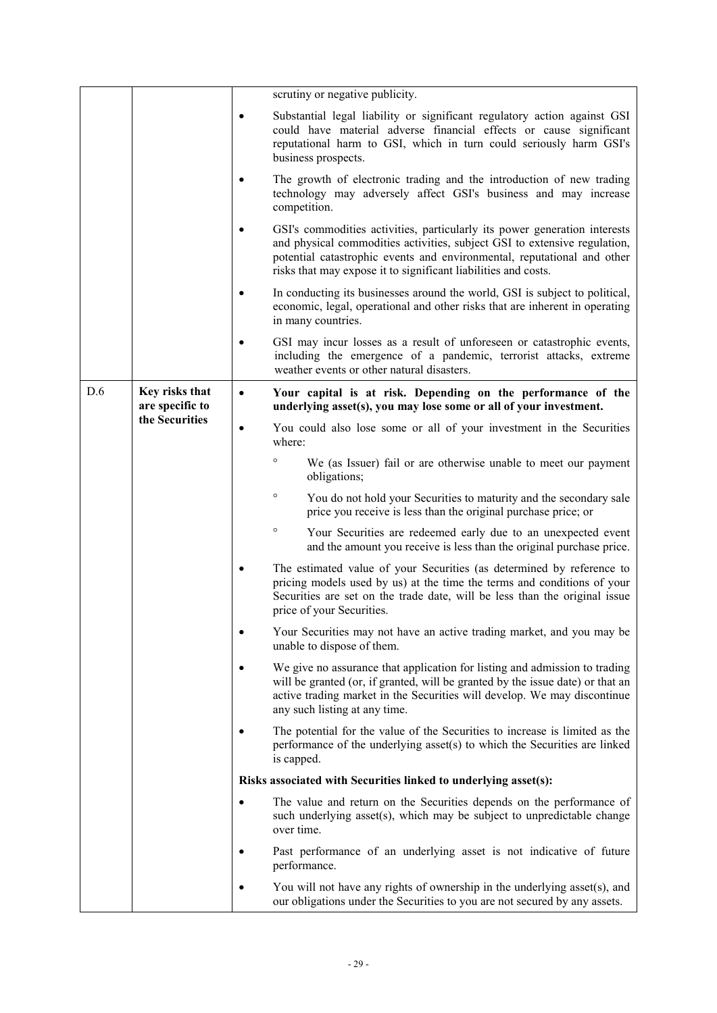|     |                                                     |           | scrutiny or negative publicity.                                                                                                                                                                                                                                                                     |
|-----|-----------------------------------------------------|-----------|-----------------------------------------------------------------------------------------------------------------------------------------------------------------------------------------------------------------------------------------------------------------------------------------------------|
|     |                                                     | $\bullet$ | Substantial legal liability or significant regulatory action against GSI<br>could have material adverse financial effects or cause significant<br>reputational harm to GSI, which in turn could seriously harm GSI's<br>business prospects.                                                         |
|     |                                                     | ٠         | The growth of electronic trading and the introduction of new trading<br>technology may adversely affect GSI's business and may increase<br>competition.                                                                                                                                             |
|     |                                                     |           | GSI's commodities activities, particularly its power generation interests<br>and physical commodities activities, subject GSI to extensive regulation,<br>potential catastrophic events and environmental, reputational and other<br>risks that may expose it to significant liabilities and costs. |
|     |                                                     | ٠         | In conducting its businesses around the world, GSI is subject to political,<br>economic, legal, operational and other risks that are inherent in operating<br>in many countries.                                                                                                                    |
|     |                                                     | $\bullet$ | GSI may incur losses as a result of unforeseen or catastrophic events,<br>including the emergence of a pandemic, terrorist attacks, extreme<br>weather events or other natural disasters.                                                                                                           |
| D.6 | Key risks that<br>are specific to<br>the Securities | $\bullet$ | Your capital is at risk. Depending on the performance of the<br>underlying asset(s), you may lose some or all of your investment.                                                                                                                                                                   |
|     |                                                     | $\bullet$ | You could also lose some or all of your investment in the Securities<br>where:                                                                                                                                                                                                                      |
|     |                                                     |           | $\circ$<br>We (as Issuer) fail or are otherwise unable to meet our payment<br>obligations;                                                                                                                                                                                                          |
|     |                                                     |           | $\circ$<br>You do not hold your Securities to maturity and the secondary sale<br>price you receive is less than the original purchase price; or                                                                                                                                                     |
|     |                                                     |           | $\circ$<br>Your Securities are redeemed early due to an unexpected event<br>and the amount you receive is less than the original purchase price.                                                                                                                                                    |
|     |                                                     |           | The estimated value of your Securities (as determined by reference to<br>pricing models used by us) at the time the terms and conditions of your<br>Securities are set on the trade date, will be less than the original issue<br>price of your Securities.                                         |
|     |                                                     | $\bullet$ | Your Securities may not have an active trading market, and you may be<br>unable to dispose of them.                                                                                                                                                                                                 |
|     |                                                     | ٠         | We give no assurance that application for listing and admission to trading<br>will be granted (or, if granted, will be granted by the issue date) or that an<br>active trading market in the Securities will develop. We may discontinue<br>any such listing at any time.                           |
|     |                                                     |           | The potential for the value of the Securities to increase is limited as the<br>performance of the underlying asset(s) to which the Securities are linked<br>is capped.                                                                                                                              |
|     |                                                     |           | Risks associated with Securities linked to underlying asset(s):                                                                                                                                                                                                                                     |
|     |                                                     | $\bullet$ | The value and return on the Securities depends on the performance of<br>such underlying asset(s), which may be subject to unpredictable change<br>over time.                                                                                                                                        |
|     |                                                     |           | Past performance of an underlying asset is not indicative of future<br>performance.                                                                                                                                                                                                                 |
|     |                                                     |           | You will not have any rights of ownership in the underlying asset(s), and<br>our obligations under the Securities to you are not secured by any assets.                                                                                                                                             |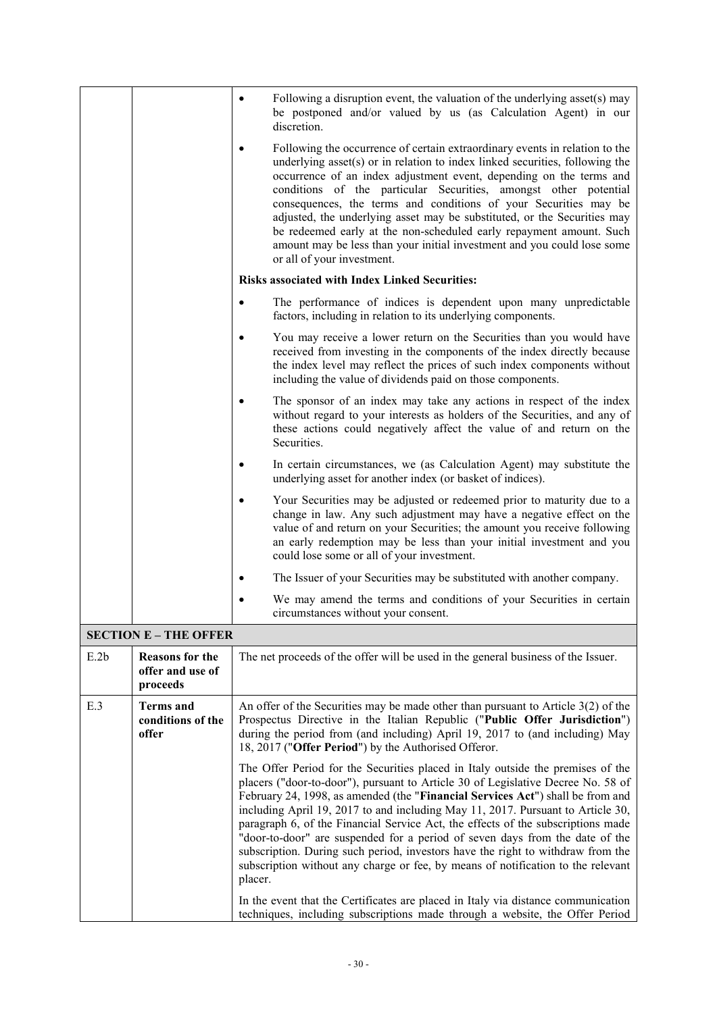|                              |                                                        | Following a disruption event, the valuation of the underlying asset(s) may<br>be postponed and/or valued by us (as Calculation Agent) in our<br>discretion.                                                                                                                                                                                                                                                                                                                                                                                                                                                                                                                                                                                                                         |  |  |  |
|------------------------------|--------------------------------------------------------|-------------------------------------------------------------------------------------------------------------------------------------------------------------------------------------------------------------------------------------------------------------------------------------------------------------------------------------------------------------------------------------------------------------------------------------------------------------------------------------------------------------------------------------------------------------------------------------------------------------------------------------------------------------------------------------------------------------------------------------------------------------------------------------|--|--|--|
|                              |                                                        | Following the occurrence of certain extraordinary events in relation to the<br>underlying asset(s) or in relation to index linked securities, following the<br>occurrence of an index adjustment event, depending on the terms and<br>conditions of the particular Securities, amongst other potential<br>consequences, the terms and conditions of your Securities may be<br>adjusted, the underlying asset may be substituted, or the Securities may<br>be redeemed early at the non-scheduled early repayment amount. Such<br>amount may be less than your initial investment and you could lose some<br>or all of your investment.                                                                                                                                              |  |  |  |
|                              |                                                        | <b>Risks associated with Index Linked Securities:</b>                                                                                                                                                                                                                                                                                                                                                                                                                                                                                                                                                                                                                                                                                                                               |  |  |  |
|                              |                                                        | The performance of indices is dependent upon many unpredictable<br>$\bullet$<br>factors, including in relation to its underlying components.                                                                                                                                                                                                                                                                                                                                                                                                                                                                                                                                                                                                                                        |  |  |  |
|                              |                                                        | You may receive a lower return on the Securities than you would have<br>received from investing in the components of the index directly because<br>the index level may reflect the prices of such index components without<br>including the value of dividends paid on those components.                                                                                                                                                                                                                                                                                                                                                                                                                                                                                            |  |  |  |
|                              |                                                        | The sponsor of an index may take any actions in respect of the index<br>$\bullet$<br>without regard to your interests as holders of the Securities, and any of<br>these actions could negatively affect the value of and return on the<br>Securities.                                                                                                                                                                                                                                                                                                                                                                                                                                                                                                                               |  |  |  |
|                              |                                                        | In certain circumstances, we (as Calculation Agent) may substitute the<br>underlying asset for another index (or basket of indices).                                                                                                                                                                                                                                                                                                                                                                                                                                                                                                                                                                                                                                                |  |  |  |
|                              |                                                        | Your Securities may be adjusted or redeemed prior to maturity due to a<br>change in law. Any such adjustment may have a negative effect on the<br>value of and return on your Securities; the amount you receive following<br>an early redemption may be less than your initial investment and you<br>could lose some or all of your investment.                                                                                                                                                                                                                                                                                                                                                                                                                                    |  |  |  |
|                              |                                                        | The Issuer of your Securities may be substituted with another company.                                                                                                                                                                                                                                                                                                                                                                                                                                                                                                                                                                                                                                                                                                              |  |  |  |
|                              |                                                        | We may amend the terms and conditions of your Securities in certain<br>circumstances without your consent.                                                                                                                                                                                                                                                                                                                                                                                                                                                                                                                                                                                                                                                                          |  |  |  |
| <b>SECTION E - THE OFFER</b> |                                                        |                                                                                                                                                                                                                                                                                                                                                                                                                                                                                                                                                                                                                                                                                                                                                                                     |  |  |  |
| E.2b                         | <b>Reasons for the</b><br>offer and use of<br>proceeds | The net proceeds of the offer will be used in the general business of the Issuer.                                                                                                                                                                                                                                                                                                                                                                                                                                                                                                                                                                                                                                                                                                   |  |  |  |
| E.3                          | <b>Terms</b> and<br>conditions of the<br>offer         | An offer of the Securities may be made other than pursuant to Article $3(2)$ of the<br>Prospectus Directive in the Italian Republic ("Public Offer Jurisdiction")<br>during the period from (and including) April 19, 2017 to (and including) May<br>18, 2017 ("Offer Period") by the Authorised Offeror.                                                                                                                                                                                                                                                                                                                                                                                                                                                                           |  |  |  |
|                              |                                                        | The Offer Period for the Securities placed in Italy outside the premises of the<br>placers ("door-to-door"), pursuant to Article 30 of Legislative Decree No. 58 of<br>February 24, 1998, as amended (the "Financial Services Act") shall be from and<br>including April 19, 2017 to and including May 11, 2017. Pursuant to Article 30,<br>paragraph 6, of the Financial Service Act, the effects of the subscriptions made<br>"door-to-door" are suspended for a period of seven days from the date of the<br>subscription. During such period, investors have the right to withdraw from the<br>subscription without any charge or fee, by means of notification to the relevant<br>placer.<br>In the event that the Certificates are placed in Italy via distance communication |  |  |  |
|                              |                                                        | techniques, including subscriptions made through a website, the Offer Period                                                                                                                                                                                                                                                                                                                                                                                                                                                                                                                                                                                                                                                                                                        |  |  |  |